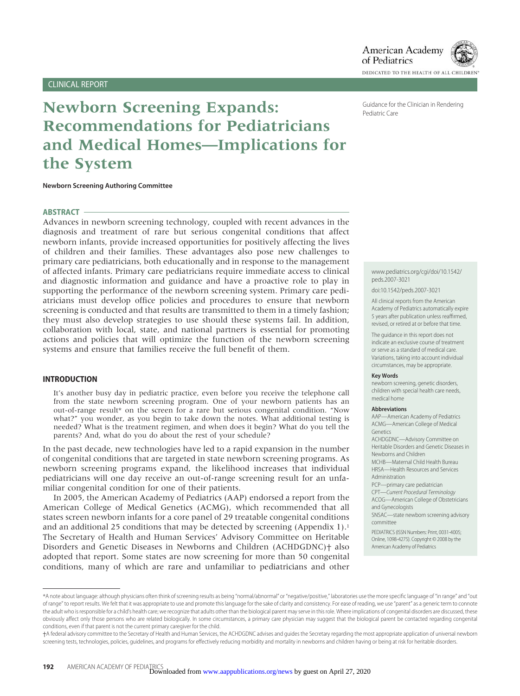#### CLINICAL REPORT

Guidance for the Clinician in Rendering Pediatric Care

## **Newborn Screening Expands: Recommendations for Pediatricians and Medical Homes—Implications for the System**

**Newborn Screening Authoring Committee**

#### **ABSTRACT**

Advances in newborn screening technology, coupled with recent advances in the diagnosis and treatment of rare but serious congenital conditions that affect newborn infants, provide increased opportunities for positively affecting the lives of children and their families. These advantages also pose new challenges to primary care pediatricians, both educationally and in response to the management of affected infants. Primary care pediatricians require immediate access to clinical and diagnostic information and guidance and have a proactive role to play in supporting the performance of the newborn screening system. Primary care pediatricians must develop office policies and procedures to ensure that newborn screening is conducted and that results are transmitted to them in a timely fashion; they must also develop strategies to use should these systems fail. In addition, collaboration with local, state, and national partners is essential for promoting actions and policies that will optimize the function of the newborn screening systems and ensure that families receive the full benefit of them.

#### **INTRODUCTION**

It's another busy day in pediatric practice, even before you receive the telephone call from the state newborn screening program. One of your newborn patients has an out-of-range result\* on the screen for a rare but serious congenital condition. "Now what?" you wonder, as you begin to take down the notes. What additional testing is needed? What is the treatment regimen, and when does it begin? What do you tell the parents? And, what do you do about the rest of your schedule?

In the past decade, new technologies have led to a rapid expansion in the number of congenital conditions that are targeted in state newborn screening programs. As newborn screening programs expand, the likelihood increases that individual pediatricians will one day receive an out-of-range screening result for an unfamiliar congenital condition for one of their patients.

In 2005, the American Academy of Pediatrics (AAP) endorsed a report from the American College of Medical Genetics (ACMG), which recommended that all states screen newborn infants for a core panel of 29 treatable congenital conditions and an additional 25 conditions that may be detected by screening (Appendix  $1$ ).<sup>1</sup> The Secretary of Health and Human Services' Advisory Committee on Heritable Disorders and Genetic Diseases in Newborns and Children (ACHDGDNC)† also adopted that report. Some states are now screening for more than 50 congenital conditions, many of which are rare and unfamiliar to pediatricians and other

www.pediatrics.org/cgi/doi/10.1542/ peds.2007-3021

doi:10.1542/peds.2007-3021

All clinical reports from the American Academy of Pediatrics automatically expire 5 years after publication unless reaffirmed, revised, or retired at or before that time.

The guidance in this report does not indicate an exclusive course of treatment or serve as a standard of medical care. Variations, taking into account individual circumstances, may be appropriate.

#### **Key Words**

newborn screening, genetic disorders, children with special health care needs, medical home

#### **Abbreviations**

AAP—American Academy of Pediatrics ACMG—American College of Medical Genetics ACHDGDNC—Advisory Committee on

Heritable Disorders and Genetic Diseases in Newborns and Children MCHB—Maternal Child Health Bureau HRSA—Health Resources and Services

#### Administration

PCP—primary care pediatrician CPT—Current Procedural Terminology

ACOG—American College of Obstetricians and Gynecologists SNSAC—state newborn screening advisory

committee

PEDIATRICS (ISSN Numbers: Print, 0031-4005; Online, 1098-4275). Copyright © 2008 by the American Academy of Pediatrics

<sup>\*</sup>A note about language: although physicians often think of screening results as being "normal/abnormal" or "negative/positive," laboratories use the more specific language of "in range" and "out of range" to report results. We felt that it was appropriate to use and promote this language for the sake of clarity and consistency. For ease of reading, we use "parent" as a generic term to connote the adult who is responsible for a child's health care; we recognize that adults other than the biological parent may serve in this role. Where implications of congenital disorders are discussed, these obviously affect only those persons who are related biologically. In some circumstances, a primary care physician may suggest that the biological parent be contacted regarding congenital conditions, even if that parent is not the current primary caregiver for the child.

<sup>†</sup>A federal advisory committee to the Secretary of Health and Human Services, the ACHDGDNC advises and guides the Secretary regarding the most appropriate application of universal newborn screening tests, technologies, policies, guidelines, and programs for effectively reducing morbidity and mortality in newborns and children having or being at risk for heritable disorders.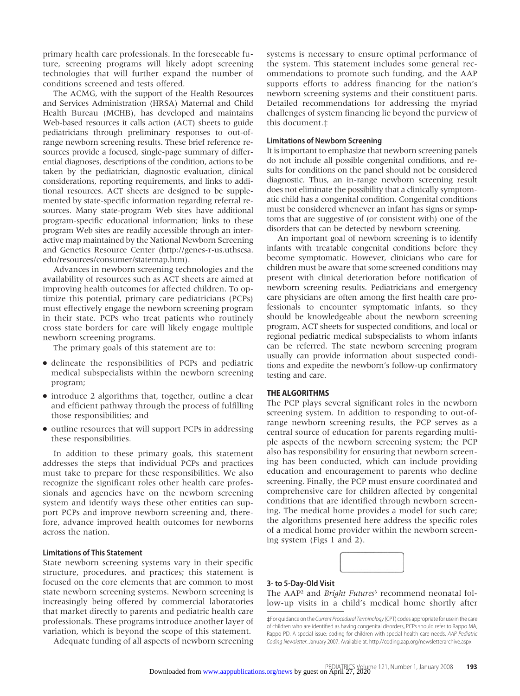primary health care professionals. In the foreseeable future, screening programs will likely adopt screening technologies that will further expand the number of conditions screened and tests offered.

The ACMG, with the support of the Health Resources and Services Administration (HRSA) Maternal and Child Health Bureau (MCHB), has developed and maintains Web-based resources it calls action (ACT) sheets to guide pediatricians through preliminary responses to out-ofrange newborn screening results. These brief reference resources provide a focused, single-page summary of differential diagnoses, descriptions of the condition, actions to be taken by the pediatrician, diagnostic evaluation, clinical considerations, reporting requirements, and links to additional resources. ACT sheets are designed to be supplemented by state-specific information regarding referral resources. Many state-program Web sites have additional program-specific educational information; links to these program Web sites are readily accessible through an interactive map maintained by the National Newborn Screening and Genetics Resource Center (http://genes-r-us.uthscsa. edu/resources/consumer/statemap.htm).

Advances in newborn screening technologies and the availability of resources such as ACT sheets are aimed at improving health outcomes for affected children. To optimize this potential, primary care pediatricians (PCPs) must effectively engage the newborn screening program in their state. PCPs who treat patients who routinely cross state borders for care will likely engage multiple newborn screening programs.

The primary goals of this statement are to:

- delineate the responsibilities of PCPs and pediatric medical subspecialists within the newborn screening program;
- introduce 2 algorithms that, together, outline a clear and efficient pathway through the process of fulfilling those responsibilities; and
- outline resources that will support PCPs in addressing these responsibilities.

In addition to these primary goals, this statement addresses the steps that individual PCPs and practices must take to prepare for these responsibilities. We also recognize the significant roles other health care professionals and agencies have on the newborn screening system and identify ways these other entities can support PCPs and improve newborn screening and, therefore, advance improved health outcomes for newborns across the nation.

#### **Limitations of This Statement**

State newborn screening systems vary in their specific structure, procedures, and practices; this statement is focused on the core elements that are common to most state newborn screening systems. Newborn screening is increasingly being offered by commercial laboratories that market directly to parents and pediatric health care professionals. These programs introduce another layer of variation, which is beyond the scope of this statement.

Adequate funding of all aspects of newborn screening

systems is necessary to ensure optimal performance of the system. This statement includes some general recommendations to promote such funding, and the AAP supports efforts to address financing for the nation's newborn screening systems and their constituent parts. Detailed recommendations for addressing the myriad challenges of system financing lie beyond the purview of this document.‡

#### **Limitations of Newborn Screening**

It is important to emphasize that newborn screening panels do not include all possible congenital conditions, and results for conditions on the panel should not be considered diagnostic. Thus, an in-range newborn screening result does not eliminate the possibility that a clinically symptomatic child has a congenital condition. Congenital conditions must be considered whenever an infant has signs or symptoms that are suggestive of (or consistent with) one of the disorders that can be detected by newborn screening.

An important goal of newborn screening is to identify infants with treatable congenital conditions before they become symptomatic. However, clinicians who care for children must be aware that some screened conditions may present with clinical deterioration before notification of newborn screening results. Pediatricians and emergency care physicians are often among the first health care professionals to encounter symptomatic infants, so they should be knowledgeable about the newborn screening program, ACT sheets for suspected conditions, and local or regional pediatric medical subspecialists to whom infants can be referred. The state newborn screening program usually can provide information about suspected conditions and expedite the newborn's follow-up confirmatory testing and care.

#### **THE ALGORITHMS**

The PCP plays several significant roles in the newborn screening system. In addition to responding to out-ofrange newborn screening results, the PCP serves as a central source of education for parents regarding multiple aspects of the newborn screening system; the PCP also has responsibility for ensuring that newborn screening has been conducted, which can include providing education and encouragement to parents who decline screening. Finally, the PCP must ensure coordinated and comprehensive care for children affected by congenital conditions that are identified through newborn screening. The medical home provides a model for such care; the algorithms presented here address the specific roles of a medical home provider within the newborn screening system (Figs 1 and 2).



#### **3- to 5-Day-Old Visit** The AAP2 and *Bright Futures*<sup>3</sup> recommend neonatal follow-up visits in a child's medical home shortly after

<sup>‡</sup>For guidance onthe Current Procedural Terminology(CPT) codes appropriate for use inthe care of children who are identified as having congenital disorders, PCPs should refer to Rappo MA, Rappo PD. A special issue: coding for children with special health care needs. AAP Pediatric Coding Newsletter. January 2007. Available at: http://coding.aap.org/newsletterarchive.aspx.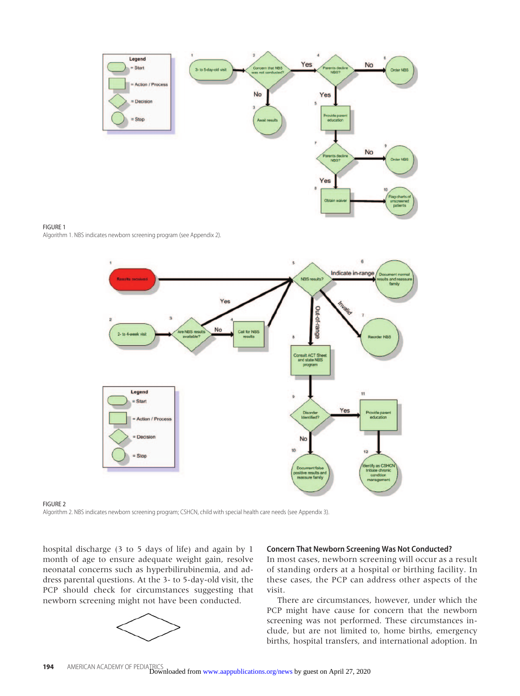

#### FIGURE 1 Algorithm 1. NBS indicates newborn screening program (see Appendix 2).



FIGURE 2 Algorithm 2. NBS indicates newborn screening program; CSHCN, child with special health care needs (see Appendix 3).

hospital discharge (3 to 5 days of life) and again by 1 month of age to ensure adequate weight gain, resolve neonatal concerns such as hyperbilirubinemia, and address parental questions. At the 3- to 5-day-old visit, the PCP should check for circumstances suggesting that newborn screening might not have been conducted.



#### **Concern That Newborn Screening Was Not Conducted?**

In most cases, newborn screening will occur as a result of standing orders at a hospital or birthing facility. In these cases, the PCP can address other aspects of the visit.

There are circumstances, however, under which the PCP might have cause for concern that the newborn screening was not performed. These circumstances include, but are not limited to, home births, emergency births, hospital transfers, and international adoption. In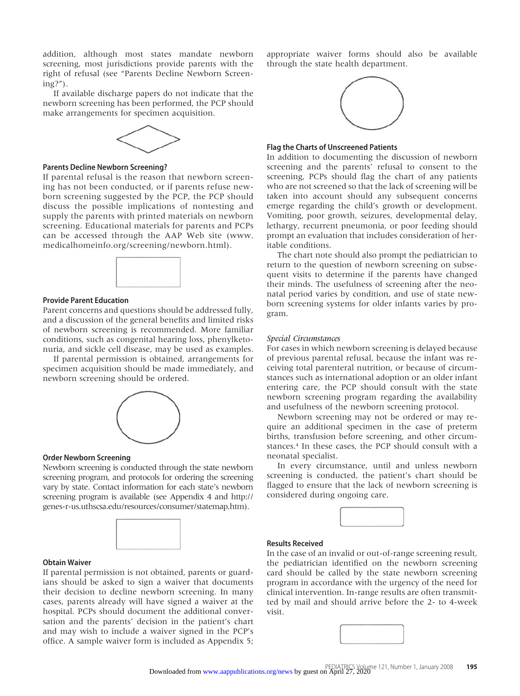addition, although most states mandate newborn screening, most jurisdictions provide parents with the right of refusal (see "Parents Decline Newborn Screening?").

If available discharge papers do not indicate that the newborn screening has been performed, the PCP should make arrangements for specimen acquisition.



#### **Parents Decline Newborn Screening?**

If parental refusal is the reason that newborn screening has not been conducted, or if parents refuse newborn screening suggested by the PCP, the PCP should discuss the possible implications of nontesting and supply the parents with printed materials on newborn screening. Educational materials for parents and PCPs can be accessed through the AAP Web site (www. medicalhomeinfo.org/screening/newborn.html).



#### **Provide Parent Education**

Parent concerns and questions should be addressed fully, and a discussion of the general benefits and limited risks of newborn screening is recommended. More familiar conditions, such as congenital hearing loss, phenylketonuria, and sickle cell disease, may be used as examples.

If parental permission is obtained, arrangements for specimen acquisition should be made immediately, and newborn screening should be ordered.



#### **Order Newborn Screening**

Newborn screening is conducted through the state newborn screening program, and protocols for ordering the screening vary by state. Contact information for each state's newborn screening program is available (see Appendix 4 and http:// genes-r-us.uthscsa.edu/resources/consumer/statemap.htm).



#### **Obtain Waiver**

If parental permission is not obtained, parents or guardians should be asked to sign a waiver that documents their decision to decline newborn screening. In many cases, parents already will have signed a waiver at the hospital. PCPs should document the additional conversation and the parents' decision in the patient's chart and may wish to include a waiver signed in the PCP's office. A sample waiver form is included as Appendix 5;

appropriate waiver forms should also be available through the state health department.



#### **Flag the Charts of Unscreened Patients**

In addition to documenting the discussion of newborn screening and the parents' refusal to consent to the screening, PCPs should flag the chart of any patients who are not screened so that the lack of screening will be taken into account should any subsequent concerns emerge regarding the child's growth or development. Vomiting, poor growth, seizures, developmental delay, lethargy, recurrent pneumonia, or poor feeding should prompt an evaluation that includes consideration of heritable conditions.

The chart note should also prompt the pediatrician to return to the question of newborn screening on subsequent visits to determine if the parents have changed their minds. The usefulness of screening after the neonatal period varies by condition, and use of state newborn screening systems for older infants varies by program.

#### *Special Circumstances*

For cases in which newborn screening is delayed because of previous parental refusal, because the infant was receiving total parenteral nutrition, or because of circumstances such as international adoption or an older infant entering care, the PCP should consult with the state newborn screening program regarding the availability and usefulness of the newborn screening protocol.

Newborn screening may not be ordered or may require an additional specimen in the case of preterm births, transfusion before screening, and other circumstances.4 In these cases, the PCP should consult with a neonatal specialist.

In every circumstance, until and unless newborn screening is conducted, the patient's chart should be flagged to ensure that the lack of newborn screening is considered during ongoing care.



#### **Results Received**

In the case of an invalid or out-of-range screening result, the pediatrician identified on the newborn screening card should be called by the state newborn screening program in accordance with the urgency of the need for clinical intervention. In-range results are often transmitted by mail and should arrive before the 2- to 4-week visit.

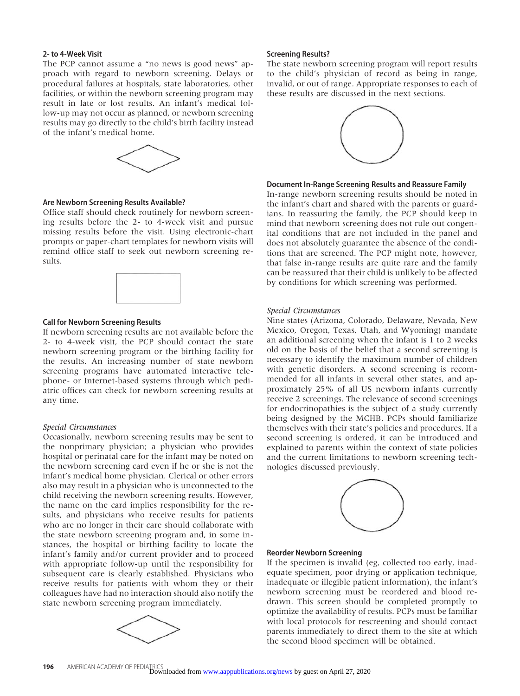#### **2- to 4-Week Visit**

The PCP cannot assume a "no news is good news" approach with regard to newborn screening. Delays or procedural failures at hospitals, state laboratories, other facilities, or within the newborn screening program may result in late or lost results. An infant's medical follow-up may not occur as planned, or newborn screening results may go directly to the child's birth facility instead of the infant's medical home.



#### **Are Newborn Screening Results Available?**

Office staff should check routinely for newborn screening results before the 2- to 4-week visit and pursue missing results before the visit. Using electronic-chart prompts or paper-chart templates for newborn visits will remind office staff to seek out newborn screening results.



#### **Call for Newborn Screening Results**

If newborn screening results are not available before the 2- to 4-week visit, the PCP should contact the state newborn screening program or the birthing facility for the results. An increasing number of state newborn screening programs have automated interactive telephone- or Internet-based systems through which pediatric offices can check for newborn screening results at any time.

#### *Special Circumstances*

Occasionally, newborn screening results may be sent to the nonprimary physician; a physician who provides hospital or perinatal care for the infant may be noted on the newborn screening card even if he or she is not the infant's medical home physician. Clerical or other errors also may result in a physician who is unconnected to the child receiving the newborn screening results. However, the name on the card implies responsibility for the results, and physicians who receive results for patients who are no longer in their care should collaborate with the state newborn screening program and, in some instances, the hospital or birthing facility to locate the infant's family and/or current provider and to proceed with appropriate follow-up until the responsibility for subsequent care is clearly established. Physicians who receive results for patients with whom they or their colleagues have had no interaction should also notify the state newborn screening program immediately.



#### **Screening Results?**

The state newborn screening program will report results to the child's physician of record as being in range, invalid, or out of range. Appropriate responses to each of these results are discussed in the next sections.



#### **Document In-Range Screening Results and Reassure Family**

In-range newborn screening results should be noted in the infant's chart and shared with the parents or guardians. In reassuring the family, the PCP should keep in mind that newborn screening does not rule out congenital conditions that are not included in the panel and does not absolutely guarantee the absence of the conditions that are screened. The PCP might note, however, that false in-range results are quite rare and the family can be reassured that their child is unlikely to be affected by conditions for which screening was performed.

#### *Special Circumstances*

Nine states (Arizona, Colorado, Delaware, Nevada, New Mexico, Oregon, Texas, Utah, and Wyoming) mandate an additional screening when the infant is 1 to 2 weeks old on the basis of the belief that a second screening is necessary to identify the maximum number of children with genetic disorders. A second screening is recommended for all infants in several other states, and approximately 25% of all US newborn infants currently receive 2 screenings. The relevance of second screenings for endocrinopathies is the subject of a study currently being designed by the MCHB. PCPs should familiarize themselves with their state's policies and procedures. If a second screening is ordered, it can be introduced and explained to parents within the context of state policies and the current limitations to newborn screening technologies discussed previously.



#### **Reorder Newborn Screening**

If the specimen is invalid (eg, collected too early, inadequate specimen, poor drying or application technique, inadequate or illegible patient information), the infant's newborn screening must be reordered and blood redrawn. This screen should be completed promptly to optimize the availability of results. PCPs must be familiar with local protocols for rescreening and should contact parents immediately to direct them to the site at which the second blood specimen will be obtained.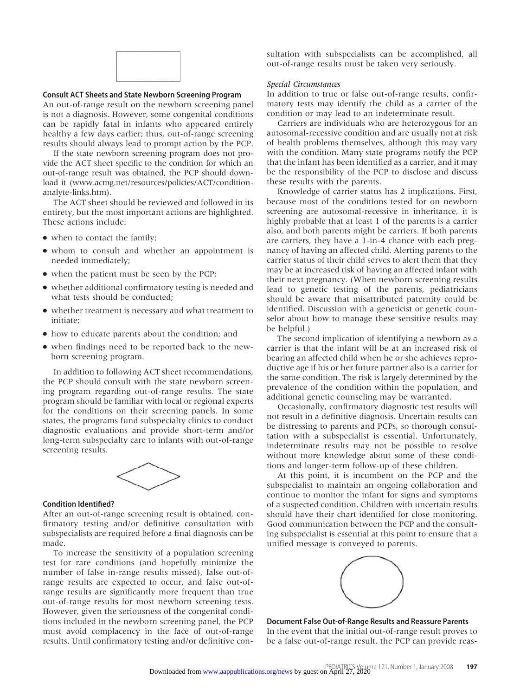

#### **Consult ACT Sheets and State Newborn Screening Program**

An out-of-range result on the newborn screening panel is not a diagnosis. However, some congenital conditions can be rapidly fatal in infants who appeared entirely healthy a few days earlier; thus, out-of-range screening results should always lead to prompt action by the PCP.

If the state newborn screening program does not provide the ACT sheet specific to the condition for which an out-of-range result was obtained, the PCP should download it (www.acmg.net/resources/policies/ACT/conditionanalyte-links.htm).

The ACT sheet should be reviewed and followed in its entirety, but the most important actions are highlighted. These actions include:

- when to contact the family;
- whom to consult and whether an appointment is needed immediately;
- when the patient must be seen by the PCP;
- whether additional confirmatory testing is needed and what tests should be conducted;
- whether treatment is necessary and what treatment to initiate;
- how to educate parents about the condition; and
- when findings need to be reported back to the newborn screening program.

In addition to following ACT sheet recommendations, the PCP should consult with the state newborn screening program regarding out-of-range results. The state program should be familiar with local or regional experts for the conditions on their screening panels. In some states, the programs fund subspecialty clinics to conduct diagnostic evaluations and provide short-term and/or long-term subspecialty care to infants with out-of-range screening results.



#### **Condition Identified?**

After an out-of-range screening result is obtained, confirmatory testing and/or definitive consultation with subspecialists are required before a final diagnosis can be made.

To increase the sensitivity of a population screening test for rare conditions (and hopefully minimize the number of false in-range results missed), false out-ofrange results are expected to occur, and false out-ofrange results are significantly more frequent than true out-of-range results for most newborn screening tests. However, given the seriousness of the congenital conditions included in the newborn screening panel, the PCP must avoid complacency in the face of out-of-range results. Until confirmatory testing and/or definitive consultation with subspecialists can be accomplished, all out-of-range results must be taken very seriously.

#### *Special Circumstances*

In addition to true or false out-of-range results, confirmatory tests may identify the child as a carrier of the condition or may lead to an indeterminate result.

Carriers are individuals who are heterozygous for an autosomal-recessive condition and are usually not at risk of health problems themselves, although this may vary with the condition. Many state programs notify the PCP that the infant has been identified as a carrier, and it may be the responsibility of the PCP to disclose and discuss these results with the parents.

Knowledge of carrier status has 2 implications. First, because most of the conditions tested for on newborn screening are autosomal-recessive in inheritance, it is highly probable that at least 1 of the parents is a carrier also, and both parents might be carriers. If both parents are carriers, they have a 1-in-4 chance with each pregnancy of having an affected child. Alerting parents to the carrier status of their child serves to alert them that they may be at increased risk of having an affected infant with their next pregnancy. (When newborn screening results lead to genetic testing of the parents, pediatricians should be aware that misattributed paternity could be identified. Discussion with a geneticist or genetic counselor about how to manage these sensitive results may be helpful.)

The second implication of identifying a newborn as a carrier is that the infant will be at an increased risk of bearing an affected child when he or she achieves reproductive age if his or her future partner also is a carrier for the same condition. The risk is largely determined by the prevalence of the condition within the population, and additional genetic counseling may be warranted.

Occasionally, confirmatory diagnostic test results will not result in a definitive diagnosis. Uncertain results can be distressing to parents and PCPs, so thorough consultation with a subspecialist is essential. Unfortunately, indeterminate results may not be possible to resolve without more knowledge about some of these conditions and longer-term follow-up of these children.

At this point, it is incumbent on the PCP and the subspecialist to maintain an ongoing collaboration and continue to monitor the infant for signs and symptoms of a suspected condition. Children with uncertain results should have their chart identified for close monitoring. Good communication between the PCP and the consulting subspecialist is essential at this point to ensure that a unified message is conveyed to parents.



**Document False Out-of-Range Results and Reassure Parents** In the event that the initial out-of-range result proves to be a false out-of-range result, the PCP can provide reas-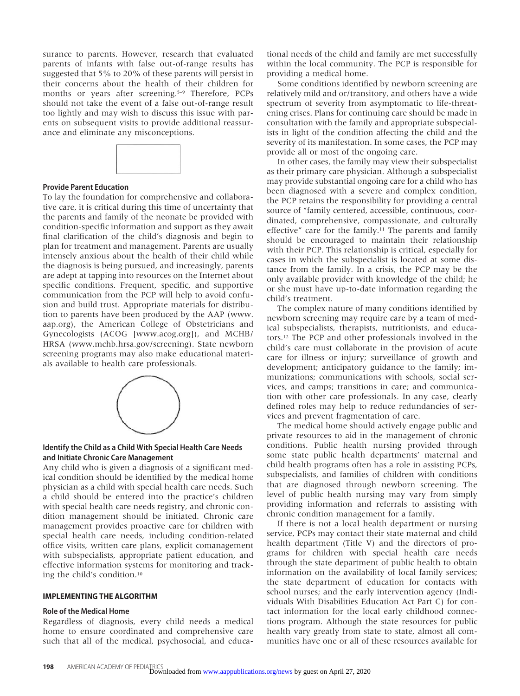surance to parents. However, research that evaluated parents of infants with false out-of-range results has suggested that 5% to 20% of these parents will persist in their concerns about the health of their children for months or years after screening.<sup>5-9</sup> Therefore, PCPs should not take the event of a false out-of-range result too lightly and may wish to discuss this issue with parents on subsequent visits to provide additional reassurance and eliminate any misconceptions.



#### **Provide Parent Education**

To lay the foundation for comprehensive and collaborative care, it is critical during this time of uncertainty that the parents and family of the neonate be provided with condition-specific information and support as they await final clarification of the child's diagnosis and begin to plan for treatment and management. Parents are usually intensely anxious about the health of their child while the diagnosis is being pursued, and increasingly, parents are adept at tapping into resources on the Internet about specific conditions. Frequent, specific, and supportive communication from the PCP will help to avoid confusion and build trust. Appropriate materials for distribution to parents have been produced by the AAP (www. aap.org), the American College of Obstetricians and Gynecologists (ACOG [www.acog.org]), and MCHB/ HRSA (www.mchb.hrsa.gov/screening). State newborn screening programs may also make educational materials available to health care professionals.



#### **Identify the Child as a Child With Special Health Care Needs and Initiate Chronic Care Management**

Any child who is given a diagnosis of a significant medical condition should be identified by the medical home physician as a child with special health care needs. Such a child should be entered into the practice's children with special health care needs registry, and chronic condition management should be initiated. Chronic care management provides proactive care for children with special health care needs, including condition-related office visits, written care plans, explicit comanagement with subspecialists, appropriate patient education, and effective information systems for monitoring and tracking the child's condition.10

#### **IMPLEMENTING THE ALGORITHM**

#### **Role of the Medical Home**

Regardless of diagnosis, every child needs a medical home to ensure coordinated and comprehensive care such that all of the medical, psychosocial, and educational needs of the child and family are met successfully within the local community. The PCP is responsible for providing a medical home.

Some conditions identified by newborn screening are relatively mild and or/transitory, and others have a wide spectrum of severity from asymptomatic to life-threatening crises. Plans for continuing care should be made in consultation with the family and appropriate subspecialists in light of the condition affecting the child and the severity of its manifestation. In some cases, the PCP may provide all or most of the ongoing care.

In other cases, the family may view their subspecialist as their primary care physician. Although a subspecialist may provide substantial ongoing care for a child who has been diagnosed with a severe and complex condition, the PCP retains the responsibility for providing a central source of "family centered, accessible, continuous, coordinated, comprehensive, compassionate, and culturally effective" care for the family.<sup>11</sup> The parents and family should be encouraged to maintain their relationship with their PCP. This relationship is critical, especially for cases in which the subspecialist is located at some distance from the family. In a crisis, the PCP may be the only available provider with knowledge of the child; he or she must have up-to-date information regarding the child's treatment.

The complex nature of many conditions identified by newborn screening may require care by a team of medical subspecialists, therapists, nutritionists, and educators.12 The PCP and other professionals involved in the child's care must collaborate in the provision of acute care for illness or injury; surveillance of growth and development; anticipatory guidance to the family; immunizations; communications with schools, social services, and camps; transitions in care; and communication with other care professionals. In any case, clearly defined roles may help to reduce redundancies of services and prevent fragmentation of care.

The medical home should actively engage public and private resources to aid in the management of chronic conditions. Public health nursing provided through some state public health departments' maternal and child health programs often has a role in assisting PCPs, subspecialists, and families of children with conditions that are diagnosed through newborn screening. The level of public health nursing may vary from simply providing information and referrals to assisting with chronic condition management for a family.

If there is not a local health department or nursing service, PCPs may contact their state maternal and child health department (Title V) and the directors of programs for children with special health care needs through the state department of public health to obtain information on the availability of local family services; the state department of education for contacts with school nurses; and the early intervention agency (Individuals With Disabilities Education Act Part C) for contact information for the local early childhood connections program. Although the state resources for public health vary greatly from state to state, almost all communities have one or all of these resources available for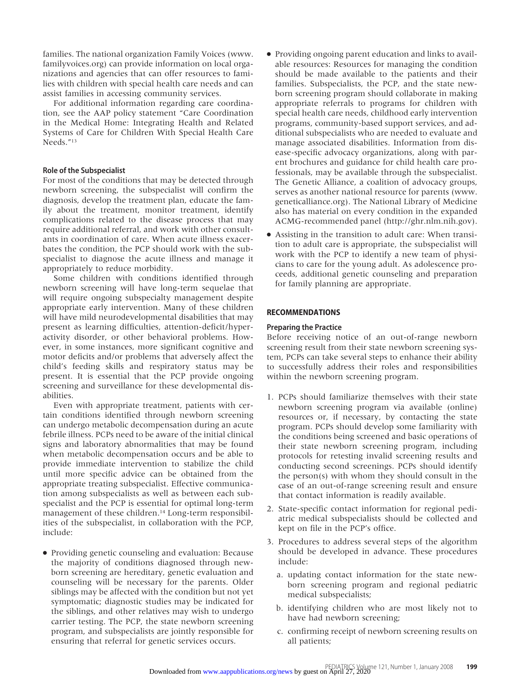families. The national organization Family Voices (www. familyvoices.org) can provide information on local organizations and agencies that can offer resources to families with children with special health care needs and can assist families in accessing community services.

For additional information regarding care coordination, see the AAP policy statement "Care Coordination in the Medical Home: Integrating Health and Related Systems of Care for Children With Special Health Care Needs."13

#### **Role of the Subspecialist**

For most of the conditions that may be detected through newborn screening, the subspecialist will confirm the diagnosis, develop the treatment plan, educate the family about the treatment, monitor treatment, identify complications related to the disease process that may require additional referral, and work with other consultants in coordination of care. When acute illness exacerbates the condition, the PCP should work with the subspecialist to diagnose the acute illness and manage it appropriately to reduce morbidity.

Some children with conditions identified through newborn screening will have long-term sequelae that will require ongoing subspecialty management despite appropriate early intervention. Many of these children will have mild neurodevelopmental disabilities that may present as learning difficulties, attention-deficit/hyperactivity disorder, or other behavioral problems. However, in some instances, more significant cognitive and motor deficits and/or problems that adversely affect the child's feeding skills and respiratory status may be present. It is essential that the PCP provide ongoing screening and surveillance for these developmental disabilities.

Even with appropriate treatment, patients with certain conditions identified through newborn screening can undergo metabolic decompensation during an acute febrile illness. PCPs need to be aware of the initial clinical signs and laboratory abnormalities that may be found when metabolic decompensation occurs and be able to provide immediate intervention to stabilize the child until more specific advice can be obtained from the appropriate treating subspecialist. Effective communication among subspecialists as well as between each subspecialist and the PCP is essential for optimal long-term management of these children.<sup>14</sup> Long-term responsibilities of the subspecialist, in collaboration with the PCP, include:

● Providing genetic counseling and evaluation: Because the majority of conditions diagnosed through newborn screening are hereditary, genetic evaluation and counseling will be necessary for the parents. Older siblings may be affected with the condition but not yet symptomatic; diagnostic studies may be indicated for the siblings, and other relatives may wish to undergo carrier testing. The PCP, the state newborn screening program, and subspecialists are jointly responsible for ensuring that referral for genetic services occurs.

- Providing ongoing parent education and links to available resources: Resources for managing the condition should be made available to the patients and their families. Subspecialists, the PCP, and the state newborn screening program should collaborate in making appropriate referrals to programs for children with special health care needs, childhood early intervention programs, community-based support services, and additional subspecialists who are needed to evaluate and manage associated disabilities. Information from disease-specific advocacy organizations, along with parent brochures and guidance for child health care professionals, may be available through the subspecialist. The Genetic Alliance, a coalition of advocacy groups, serves as another national resource for parents (www. geneticalliance.org). The National Library of Medicine also has material on every condition in the expanded ACMG-recommended panel (http://ghr.nlm.nih.gov).
- Assisting in the transition to adult care: When transition to adult care is appropriate, the subspecialist will work with the PCP to identify a new team of physicians to care for the young adult. As adolescence proceeds, additional genetic counseling and preparation for family planning are appropriate.

#### **RECOMMENDATIONS**

#### **Preparing the Practice**

Before receiving notice of an out-of-range newborn screening result from their state newborn screening system, PCPs can take several steps to enhance their ability to successfully address their roles and responsibilities within the newborn screening program.

- 1. PCPs should familiarize themselves with their state newborn screening program via available (online) resources or, if necessary, by contacting the state program. PCPs should develop some familiarity with the conditions being screened and basic operations of their state newborn screening program, including protocols for retesting invalid screening results and conducting second screenings. PCPs should identify the person(s) with whom they should consult in the case of an out-of-range screening result and ensure that contact information is readily available.
- 2. State-specific contact information for regional pediatric medical subspecialists should be collected and kept on file in the PCP's office.
- 3. Procedures to address several steps of the algorithm should be developed in advance. These procedures include:
	- a. updating contact information for the state newborn screening program and regional pediatric medical subspecialists;
	- b. identifying children who are most likely not to have had newborn screening;
	- c. confirming receipt of newborn screening results on all patients;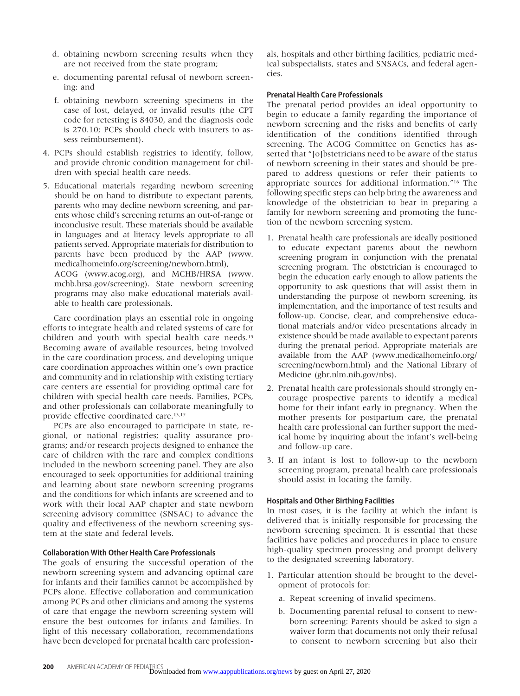- d. obtaining newborn screening results when they are not received from the state program;
- e. documenting parental refusal of newborn screening; and
- f. obtaining newborn screening specimens in the case of lost, delayed, or invalid results (the CPT code for retesting is 84030, and the diagnosis code is 270.10; PCPs should check with insurers to assess reimbursement).
- 4. PCPs should establish registries to identify, follow, and provide chronic condition management for children with special health care needs.
- 5. Educational materials regarding newborn screening should be on hand to distribute to expectant parents, parents who may decline newborn screening, and parents whose child's screening returns an out-of-range or inconclusive result. These materials should be available in languages and at literacy levels appropriate to all patients served. Appropriate materials for distribution to parents have been produced by the AAP (www. medicalhomeinfo.org/screening/newborn.html),

ACOG (www.acog.org), and MCHB/HRSA (www. mchb.hrsa.gov/screening). State newborn screening programs may also make educational materials available to health care professionals.

Care coordination plays an essential role in ongoing efforts to integrate health and related systems of care for children and youth with special health care needs.15 Becoming aware of available resources, being involved in the care coordination process, and developing unique care coordination approaches within one's own practice and community and in relationship with existing tertiary care centers are essential for providing optimal care for children with special health care needs. Families, PCPs, and other professionals can collaborate meaningfully to provide effective coordinated care.13,15

PCPs are also encouraged to participate in state, regional, or national registries; quality assurance programs; and/or research projects designed to enhance the care of children with the rare and complex conditions included in the newborn screening panel. They are also encouraged to seek opportunities for additional training and learning about state newborn screening programs and the conditions for which infants are screened and to work with their local AAP chapter and state newborn screening advisory committee (SNSAC) to advance the quality and effectiveness of the newborn screening system at the state and federal levels.

#### **Collaboration With Other Health Care Professionals**

The goals of ensuring the successful operation of the newborn screening system and advancing optimal care for infants and their families cannot be accomplished by PCPs alone. Effective collaboration and communication among PCPs and other clinicians and among the systems of care that engage the newborn screening system will ensure the best outcomes for infants and families. In light of this necessary collaboration, recommendations have been developed for prenatal health care professionals, hospitals and other birthing facilities, pediatric medical subspecialists, states and SNSACs, and federal agencies.

#### **Prenatal Health Care Professionals**

The prenatal period provides an ideal opportunity to begin to educate a family regarding the importance of newborn screening and the risks and benefits of early identification of the conditions identified through screening. The ACOG Committee on Genetics has asserted that "[o]bstetricians need to be aware of the status of newborn screening in their states and should be prepared to address questions or refer their patients to appropriate sources for additional information."16 The following specific steps can help bring the awareness and knowledge of the obstetrician to bear in preparing a family for newborn screening and promoting the function of the newborn screening system.

- 1. Prenatal health care professionals are ideally positioned to educate expectant parents about the newborn screening program in conjunction with the prenatal screening program. The obstetrician is encouraged to begin the education early enough to allow patients the opportunity to ask questions that will assist them in understanding the purpose of newborn screening, its implementation, and the importance of test results and follow-up. Concise, clear, and comprehensive educational materials and/or video presentations already in existence should be made available to expectant parents during the prenatal period. Appropriate materials are available from the AAP (www.medicalhomeinfo.org/ screening/newborn.html) and the National Library of Medicine (ghr.nlm.nih.gov/nbs).
- 2. Prenatal health care professionals should strongly encourage prospective parents to identify a medical home for their infant early in pregnancy. When the mother presents for postpartum care, the prenatal health care professional can further support the medical home by inquiring about the infant's well-being and follow-up care.
- 3. If an infant is lost to follow-up to the newborn screening program, prenatal health care professionals should assist in locating the family.

#### **Hospitals and Other Birthing Facilities**

In most cases, it is the facility at which the infant is delivered that is initially responsible for processing the newborn screening specimen. It is essential that these facilities have policies and procedures in place to ensure high-quality specimen processing and prompt delivery to the designated screening laboratory.

- 1. Particular attention should be brought to the development of protocols for:
	- a. Repeat screening of invalid specimens.
	- b. Documenting parental refusal to consent to newborn screening: Parents should be asked to sign a waiver form that documents not only their refusal to consent to newborn screening but also their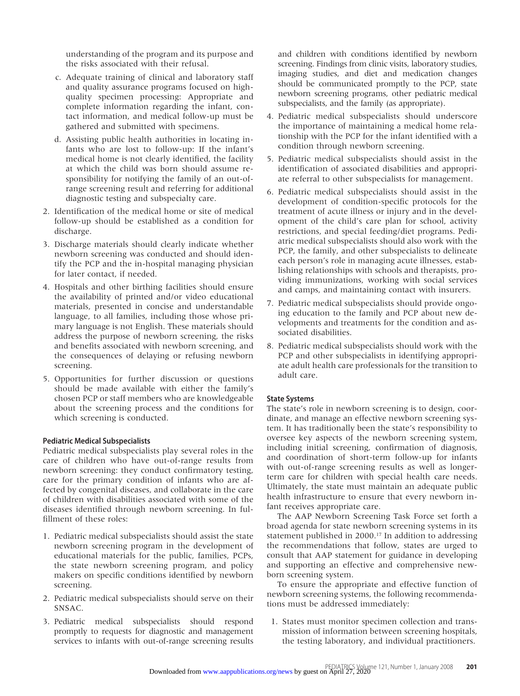understanding of the program and its purpose and the risks associated with their refusal.

- c. Adequate training of clinical and laboratory staff and quality assurance programs focused on highquality specimen processing: Appropriate and complete information regarding the infant, contact information, and medical follow-up must be gathered and submitted with specimens.
- d. Assisting public health authorities in locating infants who are lost to follow-up: If the infant's medical home is not clearly identified, the facility at which the child was born should assume responsibility for notifying the family of an out-ofrange screening result and referring for additional diagnostic testing and subspecialty care.
- 2. Identification of the medical home or site of medical follow-up should be established as a condition for discharge.
- 3. Discharge materials should clearly indicate whether newborn screening was conducted and should identify the PCP and the in-hospital managing physician for later contact, if needed.
- 4. Hospitals and other birthing facilities should ensure the availability of printed and/or video educational materials, presented in concise and understandable language, to all families, including those whose primary language is not English. These materials should address the purpose of newborn screening, the risks and benefits associated with newborn screening, and the consequences of delaying or refusing newborn screening.
- 5. Opportunities for further discussion or questions should be made available with either the family's chosen PCP or staff members who are knowledgeable about the screening process and the conditions for which screening is conducted.

#### **Pediatric Medical Subspecialists**

Pediatric medical subspecialists play several roles in the care of children who have out-of-range results from newborn screening: they conduct confirmatory testing, care for the primary condition of infants who are affected by congenital diseases, and collaborate in the care of children with disabilities associated with some of the diseases identified through newborn screening. In fulfillment of these roles:

- 1. Pediatric medical subspecialists should assist the state newborn screening program in the development of educational materials for the public, families, PCPs, the state newborn screening program, and policy makers on specific conditions identified by newborn screening.
- 2. Pediatric medical subspecialists should serve on their SNSAC.
- 3. Pediatric medical subspecialists should respond promptly to requests for diagnostic and management services to infants with out-of-range screening results

and children with conditions identified by newborn screening. Findings from clinic visits, laboratory studies, imaging studies, and diet and medication changes should be communicated promptly to the PCP, state newborn screening programs, other pediatric medical subspecialists, and the family (as appropriate).

- 4. Pediatric medical subspecialists should underscore the importance of maintaining a medical home relationship with the PCP for the infant identified with a condition through newborn screening.
- 5. Pediatric medical subspecialists should assist in the identification of associated disabilities and appropriate referral to other subspecialists for management.
- 6. Pediatric medical subspecialists should assist in the development of condition-specific protocols for the treatment of acute illness or injury and in the development of the child's care plan for school, activity restrictions, and special feeding/diet programs. Pediatric medical subspecialists should also work with the PCP, the family, and other subspecialists to delineate each person's role in managing acute illnesses, establishing relationships with schools and therapists, providing immunizations, working with social services and camps, and maintaining contact with insurers.
- 7. Pediatric medical subspecialists should provide ongoing education to the family and PCP about new developments and treatments for the condition and associated disabilities.
- 8. Pediatric medical subspecialists should work with the PCP and other subspecialists in identifying appropriate adult health care professionals for the transition to adult care.

#### **State Systems**

The state's role in newborn screening is to design, coordinate, and manage an effective newborn screening system. It has traditionally been the state's responsibility to oversee key aspects of the newborn screening system, including initial screening, confirmation of diagnosis, and coordination of short-term follow-up for infants with out-of-range screening results as well as longerterm care for children with special health care needs. Ultimately, the state must maintain an adequate public health infrastructure to ensure that every newborn infant receives appropriate care.

The AAP Newborn Screening Task Force set forth a broad agenda for state newborn screening systems in its statement published in 2000.17 In addition to addressing the recommendations that follow, states are urged to consult that AAP statement for guidance in developing and supporting an effective and comprehensive newborn screening system.

To ensure the appropriate and effective function of newborn screening systems, the following recommendations must be addressed immediately:

1. States must monitor specimen collection and transmission of information between screening hospitals, the testing laboratory, and individual practitioners.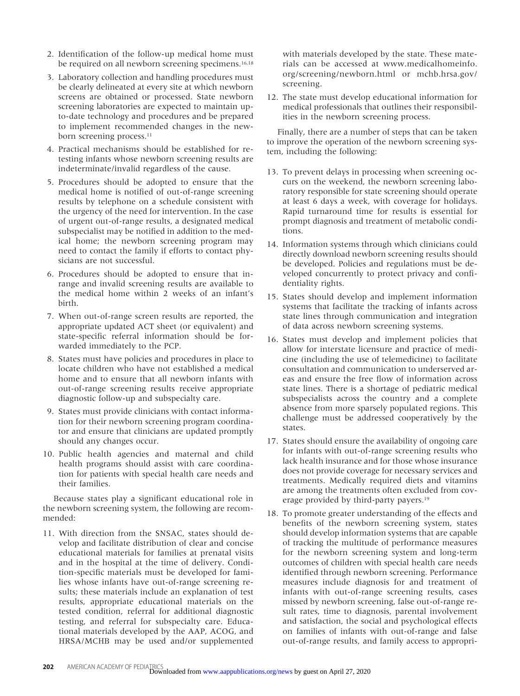- 2. Identification of the follow-up medical home must be required on all newborn screening specimens.16,18
- 3. Laboratory collection and handling procedures must be clearly delineated at every site at which newborn screens are obtained or processed. State newborn screening laboratories are expected to maintain upto-date technology and procedures and be prepared to implement recommended changes in the newborn screening process.<sup>11</sup>
- 4. Practical mechanisms should be established for retesting infants whose newborn screening results are indeterminate/invalid regardless of the cause.
- 5. Procedures should be adopted to ensure that the medical home is notified of out-of-range screening results by telephone on a schedule consistent with the urgency of the need for intervention. In the case of urgent out-of-range results, a designated medical subspecialist may be notified in addition to the medical home; the newborn screening program may need to contact the family if efforts to contact physicians are not successful.
- 6. Procedures should be adopted to ensure that inrange and invalid screening results are available to the medical home within 2 weeks of an infant's birth.
- 7. When out-of-range screen results are reported, the appropriate updated ACT sheet (or equivalent) and state-specific referral information should be forwarded immediately to the PCP.
- 8. States must have policies and procedures in place to locate children who have not established a medical home and to ensure that all newborn infants with out-of-range screening results receive appropriate diagnostic follow-up and subspecialty care.
- 9. States must provide clinicians with contact information for their newborn screening program coordinator and ensure that clinicians are updated promptly should any changes occur.
- 10. Public health agencies and maternal and child health programs should assist with care coordination for patients with special health care needs and their families.

Because states play a significant educational role in the newborn screening system, the following are recommended:

11. With direction from the SNSAC, states should develop and facilitate distribution of clear and concise educational materials for families at prenatal visits and in the hospital at the time of delivery. Condition-specific materials must be developed for families whose infants have out-of-range screening results; these materials include an explanation of test results, appropriate educational materials on the tested condition, referral for additional diagnostic testing, and referral for subspecialty care. Educational materials developed by the AAP, ACOG, and HRSA/MCHB may be used and/or supplemented with materials developed by the state. These materials can be accessed at www.medicalhomeinfo. org/screening/newborn.html or mchb.hrsa.gov/ screening.

12. The state must develop educational information for medical professionals that outlines their responsibilities in the newborn screening process.

Finally, there are a number of steps that can be taken to improve the operation of the newborn screening system, including the following:

- 13. To prevent delays in processing when screening occurs on the weekend, the newborn screening laboratory responsible for state screening should operate at least 6 days a week, with coverage for holidays. Rapid turnaround time for results is essential for prompt diagnosis and treatment of metabolic conditions.
- 14. Information systems through which clinicians could directly download newborn screening results should be developed. Policies and regulations must be developed concurrently to protect privacy and confidentiality rights.
- 15. States should develop and implement information systems that facilitate the tracking of infants across state lines through communication and integration of data across newborn screening systems.
- 16. States must develop and implement policies that allow for interstate licensure and practice of medicine (including the use of telemedicine) to facilitate consultation and communication to underserved areas and ensure the free flow of information across state lines. There is a shortage of pediatric medical subspecialists across the country and a complete absence from more sparsely populated regions. This challenge must be addressed cooperatively by the states.
- 17. States should ensure the availability of ongoing care for infants with out-of-range screening results who lack health insurance and for those whose insurance does not provide coverage for necessary services and treatments. Medically required diets and vitamins are among the treatments often excluded from coverage provided by third-party payers.19
- 18. To promote greater understanding of the effects and benefits of the newborn screening system, states should develop information systems that are capable of tracking the multitude of performance measures for the newborn screening system and long-term outcomes of children with special health care needs identified through newborn screening. Performance measures include diagnosis for and treatment of infants with out-of-range screening results, cases missed by newborn screening, false out-of-range result rates, time to diagnosis, parental involvement and satisfaction, the social and psychological effects on families of infants with out-of-range and false out-of-range results, and family access to appropri-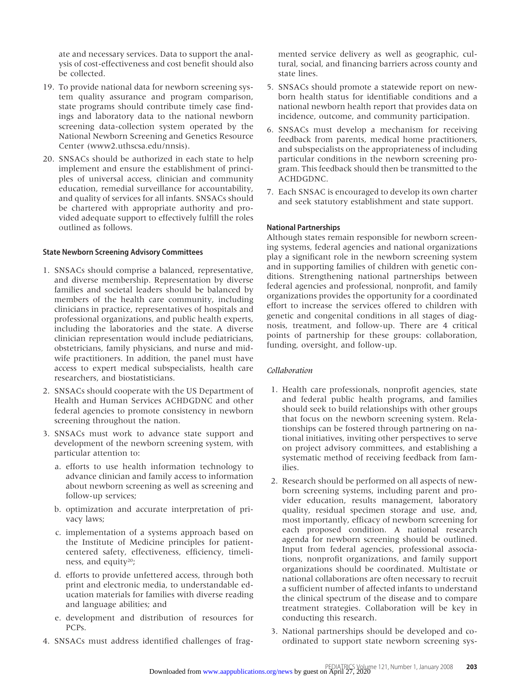ate and necessary services. Data to support the analysis of cost-effectiveness and cost benefit should also be collected.

- 19. To provide national data for newborn screening system quality assurance and program comparison, state programs should contribute timely case findings and laboratory data to the national newborn screening data-collection system operated by the National Newborn Screening and Genetics Resource Center (www2.uthscsa.edu/nnsis).
- 20. SNSACs should be authorized in each state to help implement and ensure the establishment of principles of universal access, clinician and community education, remedial surveillance for accountability, and quality of services for all infants. SNSACs should be chartered with appropriate authority and provided adequate support to effectively fulfill the roles outlined as follows.

#### **State Newborn Screening Advisory Committees**

- 1. SNSACs should comprise a balanced, representative, and diverse membership. Representation by diverse families and societal leaders should be balanced by members of the health care community, including clinicians in practice, representatives of hospitals and professional organizations, and public health experts, including the laboratories and the state. A diverse clinician representation would include pediatricians, obstetricians, family physicians, and nurse and midwife practitioners. In addition, the panel must have access to expert medical subspecialists, health care researchers, and biostatisticians.
- 2. SNSACs should cooperate with the US Department of Health and Human Services ACHDGDNC and other federal agencies to promote consistency in newborn screening throughout the nation.
- 3. SNSACs must work to advance state support and development of the newborn screening system, with particular attention to:
	- a. efforts to use health information technology to advance clinician and family access to information about newborn screening as well as screening and follow-up services;
	- b. optimization and accurate interpretation of privacy laws;
	- c. implementation of a systems approach based on the Institute of Medicine principles for patientcentered safety, effectiveness, efficiency, timeliness, and equity<sup>20</sup>;
	- d. efforts to provide unfettered access, through both print and electronic media, to understandable education materials for families with diverse reading and language abilities; and
	- e. development and distribution of resources for PCPs.
- 4. SNSACs must address identified challenges of frag-

mented service delivery as well as geographic, cultural, social, and financing barriers across county and state lines.

- 5. SNSACs should promote a statewide report on newborn health status for identifiable conditions and a national newborn health report that provides data on incidence, outcome, and community participation.
- 6. SNSACs must develop a mechanism for receiving feedback from parents, medical home practitioners, and subspecialists on the appropriateness of including particular conditions in the newborn screening program. This feedback should then be transmitted to the ACHDGDNC.
- 7. Each SNSAC is encouraged to develop its own charter and seek statutory establishment and state support.

#### **National Partnerships**

Although states remain responsible for newborn screening systems, federal agencies and national organizations play a significant role in the newborn screening system and in supporting families of children with genetic conditions. Strengthening national partnerships between federal agencies and professional, nonprofit, and family organizations provides the opportunity for a coordinated effort to increase the services offered to children with genetic and congenital conditions in all stages of diagnosis, treatment, and follow-up. There are 4 critical points of partnership for these groups: collaboration, funding, oversight, and follow-up.

#### *Collaboration*

- 1. Health care professionals, nonprofit agencies, state and federal public health programs, and families should seek to build relationships with other groups that focus on the newborn screening system. Relationships can be fostered through partnering on national initiatives, inviting other perspectives to serve on project advisory committees, and establishing a systematic method of receiving feedback from families.
- 2. Research should be performed on all aspects of newborn screening systems, including parent and provider education, results management, laboratory quality, residual specimen storage and use, and, most importantly, efficacy of newborn screening for each proposed condition. A national research agenda for newborn screening should be outlined. Input from federal agencies, professional associations, nonprofit organizations, and family support organizations should be coordinated. Multistate or national collaborations are often necessary to recruit a sufficient number of affected infants to understand the clinical spectrum of the disease and to compare treatment strategies. Collaboration will be key in conducting this research.
- 3. National partnerships should be developed and coordinated to support state newborn screening sys-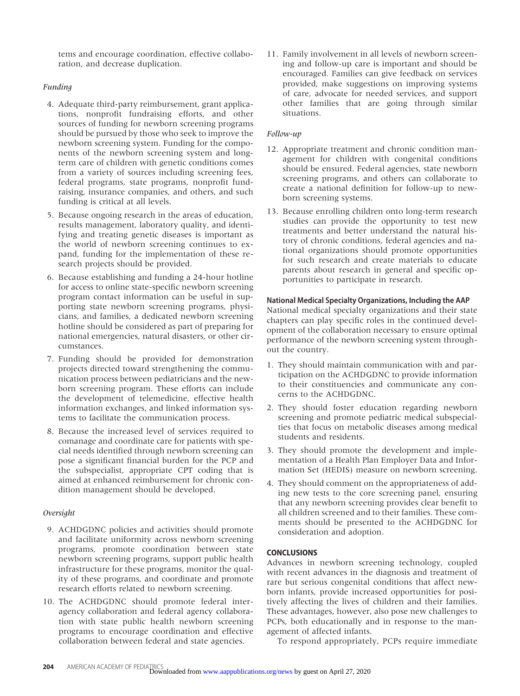tems and encourage coordination, effective collaboration, and decrease duplication.

#### *Funding*

- 4. Adequate third-party reimbursement, grant applications, nonprofit fundraising efforts, and other sources of funding for newborn screening programs should be pursued by those who seek to improve the newborn screening system. Funding for the components of the newborn screening system and longterm care of children with genetic conditions comes from a variety of sources including screening fees, federal programs, state programs, nonprofit fundraising, insurance companies, and others, and such funding is critical at all levels.
- 5. Because ongoing research in the areas of education, results management, laboratory quality, and identifying and treating genetic diseases is important as the world of newborn screening continues to expand, funding for the implementation of these research projects should be provided.
- 6. Because establishing and funding a 24-hour hotline for access to online state-specific newborn screening program contact information can be useful in supporting state newborn screening programs, physicians, and families, a dedicated newborn screening hotline should be considered as part of preparing for national emergencies, natural disasters, or other circumstances.
- 7. Funding should be provided for demonstration projects directed toward strengthening the communication process between pediatricians and the newborn screening program. These efforts can include the development of telemedicine, effective health information exchanges, and linked information systems to facilitate the communication process.
- 8. Because the increased level of services required to comanage and coordinate care for patients with special needs identified through newborn screening can pose a significant financial burden for the PCP and the subspecialist, appropriate CPT coding that is aimed at enhanced reimbursement for chronic condition management should be developed.

#### *Oversight*

- 9. ACHDGDNC policies and activities should promote and facilitate uniformity across newborn screening programs, promote coordination between state newborn screening programs, support public health infrastructure for these programs, monitor the quality of these programs, and coordinate and promote research efforts related to newborn screening.
- 10. The ACHDGDNC should promote federal interagency collaboration and federal agency collaboration with state public health newborn screening programs to encourage coordination and effective collaboration between federal and state agencies.

11. Family involvement in all levels of newborn screening and follow-up care is important and should be encouraged. Families can give feedback on services provided, make suggestions on improving systems of care, advocate for needed services, and support other families that are going through similar situations.

#### *Follow-up*

- 12. Appropriate treatment and chronic condition management for children with congenital conditions should be ensured. Federal agencies, state newborn screening programs, and others can collaborate to create a national definition for follow-up to newborn screening systems.
- 13. Because enrolling children onto long-term research studies can provide the opportunity to test new treatments and better understand the natural history of chronic conditions, federal agencies and national organizations should promote opportunities for such research and create materials to educate parents about research in general and specific opportunities to participate in research.

#### **National Medical Specialty Organizations, Including the AAP**

National medical specialty organizations and their state chapters can play specific roles in the continued development of the collaboration necessary to ensure optimal performance of the newborn screening system throughout the country.

- 1. They should maintain communication with and participation on the ACHDGDNC to provide information to their constituencies and communicate any concerns to the ACHDGDNC.
- 2. They should foster education regarding newborn screening and promote pediatric medical subspecialties that focus on metabolic diseases among medical students and residents.
- 3. They should promote the development and implementation of a Health Plan Employer Data and Information Set (HEDIS) measure on newborn screening.
- 4. They should comment on the appropriateness of adding new tests to the core screening panel, ensuring that any newborn screening provides clear benefit to all children screened and to their families. These comments should be presented to the ACHDGDNC for consideration and adoption.

#### **CONCLUSIONS**

Advances in newborn screening technology, coupled with recent advances in the diagnosis and treatment of rare but serious congenital conditions that affect newborn infants, provide increased opportunities for positively affecting the lives of children and their families. These advantages, however, also pose new challenges to PCPs, both educationally and in response to the management of affected infants.

To respond appropriately, PCPs require immediate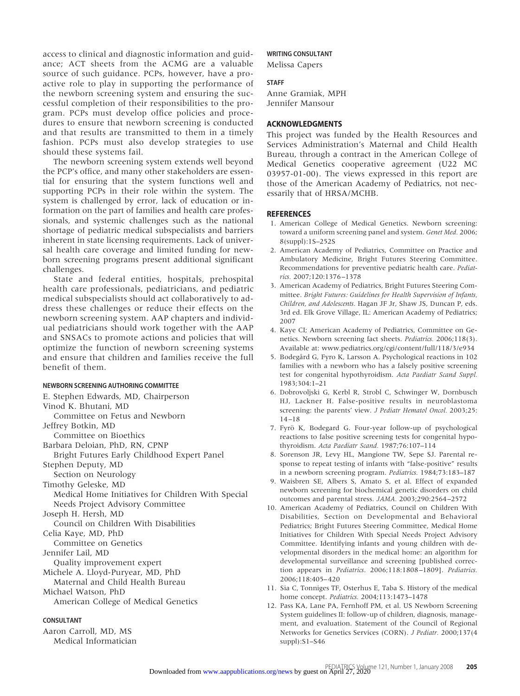access to clinical and diagnostic information and guidance; ACT sheets from the ACMG are a valuable source of such guidance. PCPs, however, have a proactive role to play in supporting the performance of the newborn screening system and ensuring the successful completion of their responsibilities to the program. PCPs must develop office policies and procedures to ensure that newborn screening is conducted and that results are transmitted to them in a timely fashion. PCPs must also develop strategies to use should these systems fail.

The newborn screening system extends well beyond the PCP's office, and many other stakeholders are essential for ensuring that the system functions well and supporting PCPs in their role within the system. The system is challenged by error, lack of education or information on the part of families and health care professionals, and systemic challenges such as the national shortage of pediatric medical subspecialists and barriers inherent in state licensing requirements. Lack of universal health care coverage and limited funding for newborn screening programs present additional significant challenges.

State and federal entities, hospitals, prehospital health care professionals, pediatricians, and pediatric medical subspecialists should act collaboratively to address these challenges or reduce their effects on the newborn screening system. AAP chapters and individual pediatricians should work together with the AAP and SNSACs to promote actions and policies that will optimize the function of newborn screening systems and ensure that children and families receive the full benefit of them.

#### **NEWBORN SCREENING AUTHORING COMMITTEE**

| E. Stephen Edwards, MD, Chairperson                |
|----------------------------------------------------|
| Vinod K. Bhutani, MD                               |
| Committee on Fetus and Newborn                     |
| Jeffrey Botkin, MD                                 |
| Committee on Bioethics                             |
| Barbara Deloian, PhD, RN, CPNP                     |
| Bright Futures Early Childhood Expert Panel        |
| Stephen Deputy, MD                                 |
| Section on Neurology                               |
| Timothy Geleske, MD                                |
| Medical Home Initiatives for Children With Special |
| Needs Project Advisory Committee                   |
| Joseph H. Hersh, MD                                |
| Council on Children With Disabilities              |
| Celia Kaye, MD, PhD                                |
| Committee on Genetics                              |
| Jennifer Lail, MD                                  |
| Quality improvement expert                         |
| Michele A. Lloyd-Puryear, MD, PhD                  |
| Maternal and Child Health Bureau                   |
| Michael Watson, PhD                                |
| American College of Medical Genetics               |
| CALCIII TANT                                       |

#### **CONSULTANT**

Aaron Carroll, MD, MS Medical Informatician

#### **WRITING CONSULTANT**

Melissa Capers

#### **STAFF**

Anne Gramiak, MPH Jennifer Mansour

#### **ACKNOWLEDGMENTS**

This project was funded by the Health Resources and Services Administration's Maternal and Child Health Bureau, through a contract in the American College of Medical Genetics cooperative agreement (U22 MC 03957-01-00). The views expressed in this report are those of the American Academy of Pediatrics, not necessarily that of HRSA/MCHB.

#### **REFERENCES**

- 1. American College of Medical Genetics. Newborn screening: toward a uniform screening panel and system. *Genet Med.* 2006; 8(suppl):1S–252S
- 2. American Academy of Pediatrics, Committee on Practice and Ambulatory Medicine, Bright Futures Steering Committee. Recommendations for preventive pediatric health care. *Pediatrics.* 2007;120:1376 –1378
- 3. American Academy of Pediatrics, Bright Futures Steering Committee. *Bright Futures: Guidelines for Health Supervision of Infants, Children, and Adolescents.* Hagan JF Jr, Shaw JS, Duncan P, eds. 3rd ed. Elk Grove Village, IL: American Academy of Pediatrics; 2007
- 4. Kaye CI; American Academy of Pediatrics, Committee on Genetics. Newborn screening fact sheets. *Pediatrics.* 2006;118(3). Available at: www.pediatrics.org/cgi/content/full/118/3/e934
- 5. Bodegård G, Fyro K, Larsson A. Psychological reactions in 102 families with a newborn who has a falsely positive screening test for congenital hypothyroidism. *Acta Paediatr Scand Suppl.* 1983;304:1–21
- 6. Dobrovoljski G, Kerbl R, Strobl C, Schwinger W, Dornbusch HJ, Lackner H. False-positive results in neuroblastoma screening: the parents' view. *J Pediatr Hematol Oncol.* 2003;25: 14 –18
- 7. Fyrö K, Bodegard G. Four-year follow-up of psychological reactions to false positive screening tests for congenital hypothyroidism. *Acta Paediatr Scand.* 1987;76:107–114
- 8. Sorenson JR, Levy HL, Mangione TW, Sepe SJ. Parental response to repeat testing of infants with "false-positive" results in a newborn screening program. *Pediatrics.* 1984;73:183–187
- 9. Waisbren SE, Albers S, Amato S, et al. Effect of expanded newborn screening for biochemical genetic disorders on child outcomes and parental stress. *JAMA.* 2003;290:2564 –2572
- 10. American Academy of Pediatrics, Council on Children With Disabilities, Section on Developmental and Behavioral Pediatrics; Bright Futures Steering Committee, Medical Home Initiatives for Children With Special Needs Project Advisory Committee. Identifying infants and young children with developmental disorders in the medical home: an algorithm for developmental surveillance and screening [published correction appears in *Pediatrics*. 2006;118:1808 –1809]. *Pediatrics.* 2006;118:405– 420
- 11. Sia C, Tonniges TF, Osterhus E, Taba S. History of the medical home concept. *Pediatrics.* 2004;113:1473–1478
- 12. Pass KA, Lane PA, Fernhoff PM, et al. US Newborn Screening System guidelines II: follow-up of children, diagnosis, management, and evaluation. Statement of the Council of Regional Networks for Genetics Services (CORN). *J Pediatr.* 2000;137(4 suppl):S1–S46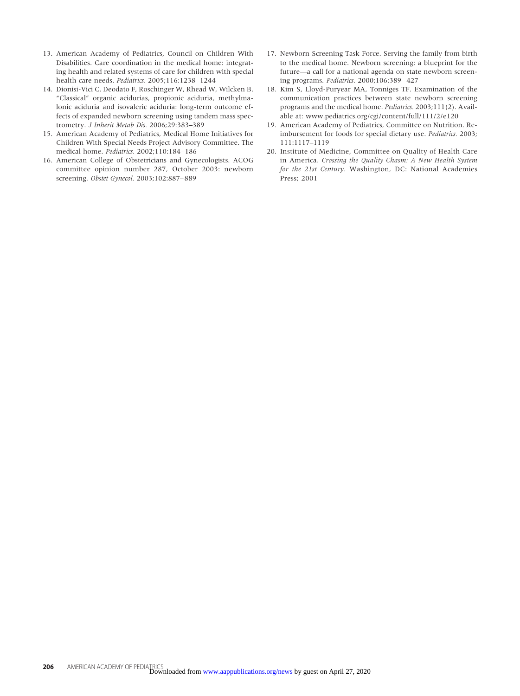- 13. American Academy of Pediatrics, Council on Children With Disabilities. Care coordination in the medical home: integrating health and related systems of care for children with special health care needs. *Pediatrics.* 2005;116:1238 –1244
- 14. Dionisi-Vici C, Deodato F, Roschinger W, Rhead W, Wilcken B. "Classical" organic acidurias, propionic aciduria, methylmalonic aciduria and isovaleric aciduria: long-term outcome effects of expanded newborn screening using tandem mass spectrometry. *J Inherit Metab Dis.* 2006;29:383–389
- 15. American Academy of Pediatrics, Medical Home Initiatives for Children With Special Needs Project Advisory Committee. The medical home. *Pediatrics.* 2002;110:184 –186
- 16. American College of Obstetricians and Gynecologists. ACOG committee opinion number 287, October 2003: newborn screening. *Obstet Gynecol.* 2003;102:887– 889
- 17. Newborn Screening Task Force. Serving the family from birth to the medical home. Newborn screening: a blueprint for the future—a call for a national agenda on state newborn screening programs. *Pediatrics.* 2000;106:389 – 427
- 18. Kim S, Lloyd-Puryear MA, Tonniges TF. Examination of the communication practices between state newborn screening programs and the medical home. *Pediatrics.* 2003;111(2). Available at: www.pediatrics.org/cgi/content/full/111/2/e120
- 19. American Academy of Pediatrics, Committee on Nutrition. Reimbursement for foods for special dietary use. *Pediatrics.* 2003; 111:1117–1119
- 20. Institute of Medicine, Committee on Quality of Health Care in America. *Crossing the Quality Chasm: A New Health System for the 21st Century*. Washington, DC: National Academies Press; 2001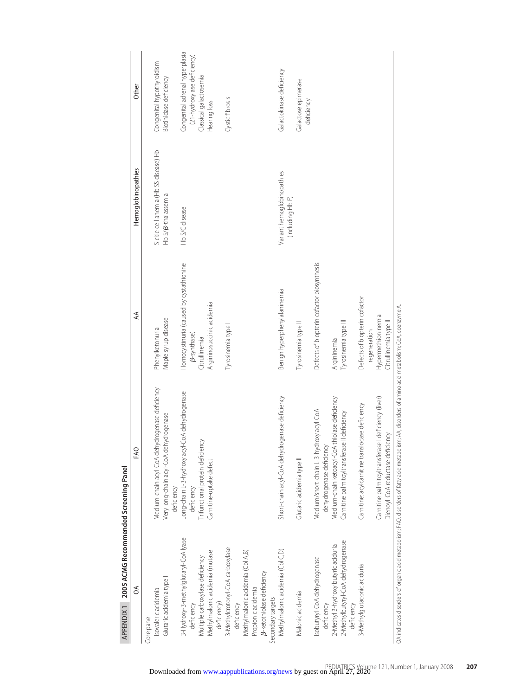| 2005 ACMG Recommended Screening Panel<br><b>APPENDIX1</b>                                                                                                         |                                                                                                                                                      |                                                                                                              |                                                                     |                                                                                                         |
|-------------------------------------------------------------------------------------------------------------------------------------------------------------------|------------------------------------------------------------------------------------------------------------------------------------------------------|--------------------------------------------------------------------------------------------------------------|---------------------------------------------------------------------|---------------------------------------------------------------------------------------------------------|
| $\delta$                                                                                                                                                          | FAO                                                                                                                                                  | ₹                                                                                                            | Hemoglobinopathies                                                  | Other                                                                                                   |
| Glutaric acidemia type I<br>Isovaleric acidemia<br>Core panel                                                                                                     | Medium-chain acyl-CoA dehydrogenase deficiency<br>Very long-chain acyl-CoA dehydrogenase<br>deficiency                                               | Maple syrup disease<br>Phenylketonuria                                                                       | Sickle cell anemia (Hb SS disease) Hb<br>Hb S/ <b>ß-thalassemia</b> | Congenital hypothyroidism<br>Biotinidase deficiency                                                     |
| 3-Hydroxy-3-methylglutaryl-CoA lyase<br>Methylmalonic acidemia (mutase<br>Multiple carboxylase deficiency<br>deficiency)<br>deficiency                            | Long-chain L-3-hydroxy acyl-CoA dehydrogenase<br>Trifunctional protein deficiency<br>Camitine-uptake defect<br>deficiency                            | Homocystinuria (caused by cystathionine<br>Argininosuccinic acidemia<br><b>B-synthase</b> )<br>Citrullinemia | Hb S/C disease                                                      | Congenital adrenal hyperplasia<br>(21-hydroxylase deficiency)<br>Classical galactosemia<br>Hearing loss |
| 3-Methylcrotonyl-CoA carboxylase<br>Methylmalonic acidemia (Cbl A,B)<br><b>B-ketothiolase deficiency</b><br>Propionic acidemia<br>Secondary targets<br>deficiency |                                                                                                                                                      | Tyrosinemia type I                                                                                           |                                                                     | Cystic fibrosis                                                                                         |
| Methylmalonic acidemia (Cbl C,D)                                                                                                                                  | Short-chain acyl-CoA dehydrogenase deficiency                                                                                                        | Benign hyperphenylalaninemia                                                                                 | Variant hemoglobinopathies<br>(including Hb E)                      | Galactokinase deficiency                                                                                |
| Malonic acidemia                                                                                                                                                  | Glutaric acidemia type II                                                                                                                            | Tyrosinemia type II                                                                                          |                                                                     | Galactose epimerase<br>deficiency                                                                       |
| Isobutyryl-CoA dehydrogenase<br>deficiency                                                                                                                        | Medium/short-chain L-3-hydroxy acyl-CoA<br>dehydrogenase deficiency                                                                                  | Defects of biopterin cofactor biosynthesis                                                                   |                                                                     |                                                                                                         |
| 2-Methylbutyryl-CoA dehydrogenase<br>2-Methyl 3-hydroxy butyric aciduria<br>deficiency                                                                            | Medium-chain ketoacyl-CoA thiolase deficiency<br>Camitine palmitoyltransferase II deficiency                                                         | Tyrosinemia type III<br>Argininemia                                                                          |                                                                     |                                                                                                         |
| 3-Methylglutaconic aciduria                                                                                                                                       | Camitine: acylcarnitine translocase deficiency                                                                                                       | Defects of biopterin cofactor<br>regeneration                                                                |                                                                     |                                                                                                         |
|                                                                                                                                                                   | Camitine palmitoyltransferase I deficiency (liver)<br>Dienoyl-CoA reductase deficiency                                                               | Hypermethioninemia<br>Citrullinemia type II                                                                  |                                                                     |                                                                                                         |
|                                                                                                                                                                   | OA indicates disorders of organic acid metabolism; FAO, disorders of fatty acid metabolism; AA, disorders of amino acid metabolism; CoA, coenzyme A. |                                                                                                              |                                                                     |                                                                                                         |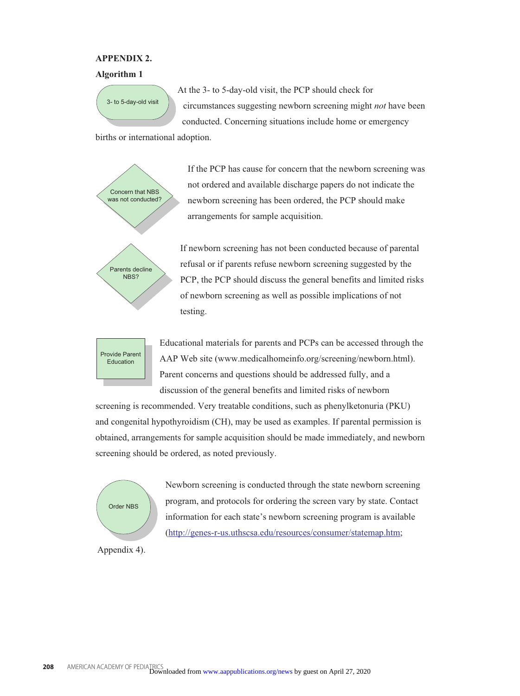#### **APPENDIX 2.**

## **Algorithm 1**

3- to 5-day-old visit

At the 3- to 5-day-old visit, the PCP should check for circumstances suggesting newborn screening might *not* have been conducted. Concerning situations include home or emergency

births or international adoption.



If the PCP has cause for concern that the newborn screening was not ordered and available discharge papers do not indicate the newborn screening has been ordered, the PCP should make arrangements for sample acquisition.

If newborn screening has not been conducted because of parental refusal or if parents refuse newborn screening suggested by the PCP, the PCP should discuss the general benefits and limited risks of newborn screening as well as possible implications of not testing.



Educational materials for parents and PCPs can be accessed through the AAP Web site (www.medicalhomeinfo.org/screening/newborn.html). Parent concerns and questions should be addressed fully, and a discussion of the general benefits and limited risks of newborn

screening is recommended. Very treatable conditions, such as phenylketonuria (PKU) and congenital hypothyroidism (CH), may be used as examples. If parental permission is obtained, arrangements for sample acquisition should be made immediately, and newborn screening should be ordered, as noted previously.



Newborn screening is conducted through the state newborn screening program, and protocols for ordering the screen vary by state. Contact information for each state's newborn screening program is available (http://genes-r-us.uthscsa.edu/resources/consumer/statemap.htm;

Appendix 4).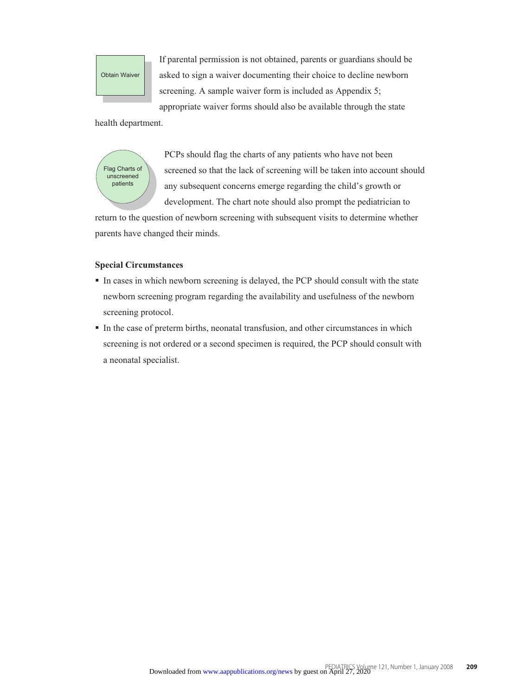## Obtain Waiver

If parental permission is not obtained, parents or guardians should be asked to sign a waiver documenting their choice to decline newborn screening. A sample waiver form is included as Appendix 5;

appropriate waiver forms should also be available through the state

health department.



PCPs should flag the charts of any patients who have not been screened so that the lack of screening will be taken into account should any subsequent concerns emerge regarding the child's growth or development. The chart note should also prompt the pediatrician to

return to the question of newborn screening with subsequent visits to determine whether parents have changed their minds.

## **Special Circumstances**

- In cases in which newborn screening is delayed, the PCP should consult with the state newborn screening program regarding the availability and usefulness of the newborn screening protocol.
- In the case of preterm births, neonatal transfusion, and other circumstances in which screening is not ordered or a second specimen is required, the PCP should consult with a neonatal specialist.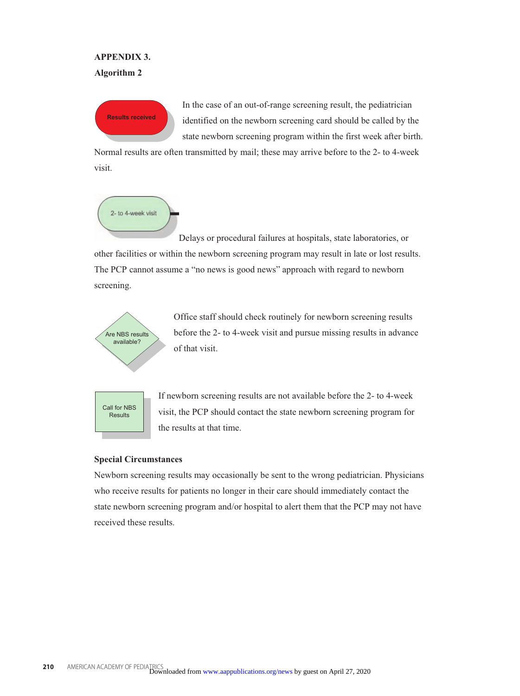### **Algorithm 2**

**Results received**

In the case of an out-of-range screening result, the pediatrician identified on the newborn screening card should be called by the state newborn screening program within the first week after birth.

Normal results are often transmitted by mail; these may arrive before to the 2- to 4-week visit.



Delays or procedural failures at hospitals, state laboratories, or other facilities or within the newborn screening program may result in late or lost results. The PCP cannot assume a "no news is good news" approach with regard to newborn screening.



Office staff should check routinely for newborn screening results before the 2- to 4-week visit and pursue missing results in advance of that visit.



If newborn screening results are not available before the 2- to 4-week visit, the PCP should contact the state newborn screening program for the results at that time.

#### **Special Circumstances**

Newborn screening results may occasionally be sent to the wrong pediatrician. Physicians who receive results for patients no longer in their care should immediately contact the state newborn screening program and/or hospital to alert them that the PCP may not have received these results.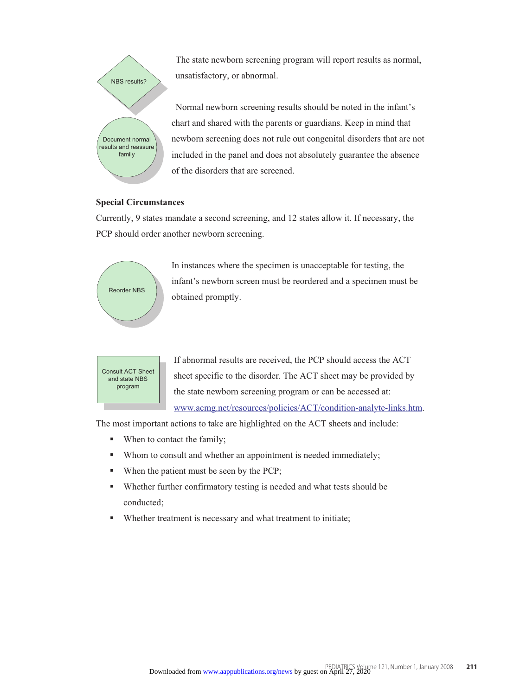

The state newborn screening program will report results as normal, unsatisfactory, or abnormal.

Normal newborn screening results should be noted in the infant's chart and shared with the parents or guardians. Keep in mind that newborn screening does not rule out congenital disorders that are not included in the panel and does not absolutely guarantee the absence of the disorders that are screened.

## **Special Circumstances**

Currently, 9 states mandate a second screening, and 12 states allow it. If necessary, the PCP should order another newborn screening.



In instances where the specimen is unacceptable for testing, the infant's newborn screen must be reordered and a specimen must be obtained promptly.



If abnormal results are received, the PCP should access the ACT sheet specific to the disorder. The ACT sheet may be provided by the state newborn screening program or can be accessed at: www.acmg.net/resources/policies/ACT/condition-analyte-links.htm.

The most important actions to take are highlighted on the ACT sheets and include:

- When to contact the family;
- Whom to consult and whether an appointment is needed immediately;
- When the patient must be seen by the PCP;
- Whether further confirmatory testing is needed and what tests should be conducted;
- Whether treatment is necessary and what treatment to initiate;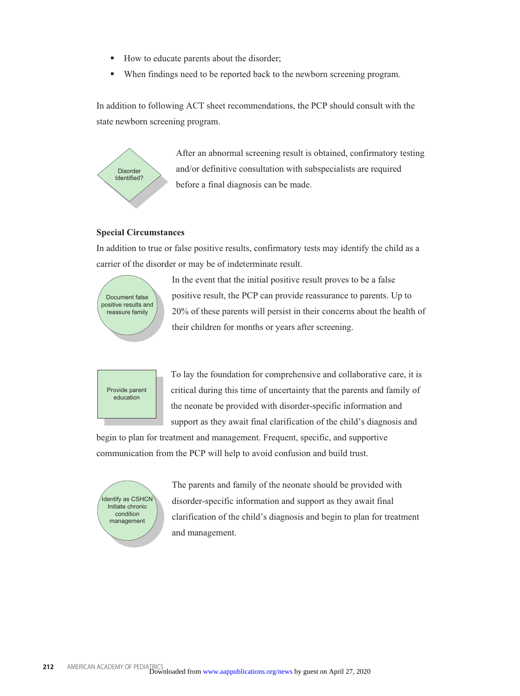- How to educate parents about the disorder;
- When findings need to be reported back to the newborn screening program.

In addition to following ACT sheet recommendations, the PCP should consult with the state newborn screening program.



After an abnormal screening result is obtained, confirmatory testing and/or definitive consultation with subspecialists are required before a final diagnosis can be made.

## **Special Circumstances**

In addition to true or false positive results, confirmatory tests may identify the child as a carrier of the disorder or may be of indeterminate result.



In the event that the initial positive result proves to be a false positive result, the PCP can provide reassurance to parents. Up to 20% of these parents will persist in their concerns about the health of their children for months or years after screening.



To lay the foundation for comprehensive and collaborative care, it is critical during this time of uncertainty that the parents and family of the neonate be provided with disorder-specific information and support as they await final clarification of the child's diagnosis and

begin to plan for treatment and management. Frequent, specific, and supportive communication from the PCP will help to avoid confusion and build trust.



The parents and family of the neonate should be provided with disorder-specific information and support as they await final clarification of the child's diagnosis and begin to plan for treatment and management.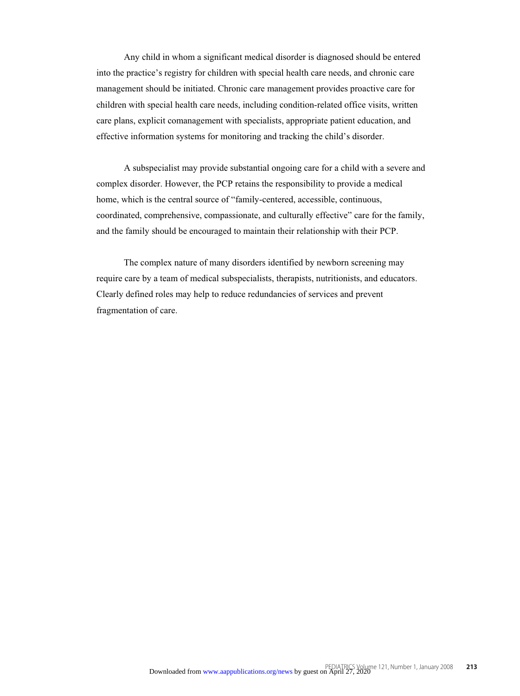Any child in whom a significant medical disorder is diagnosed should be entered into the practice's registry for children with special health care needs, and chronic care management should be initiated. Chronic care management provides proactive care for children with special health care needs, including condition-related office visits, written care plans, explicit comanagement with specialists, appropriate patient education, and effective information systems for monitoring and tracking the child's disorder.

A subspecialist may provide substantial ongoing care for a child with a severe and complex disorder. However, the PCP retains the responsibility to provide a medical home, which is the central source of "family-centered, accessible, continuous, coordinated, comprehensive, compassionate, and culturally effective" care for the family, and the family should be encouraged to maintain their relationship with their PCP.

The complex nature of many disorders identified by newborn screening may require care by a team of medical subspecialists, therapists, nutritionists, and educators. Clearly defined roles may help to reduce redundancies of services and prevent fragmentation of care.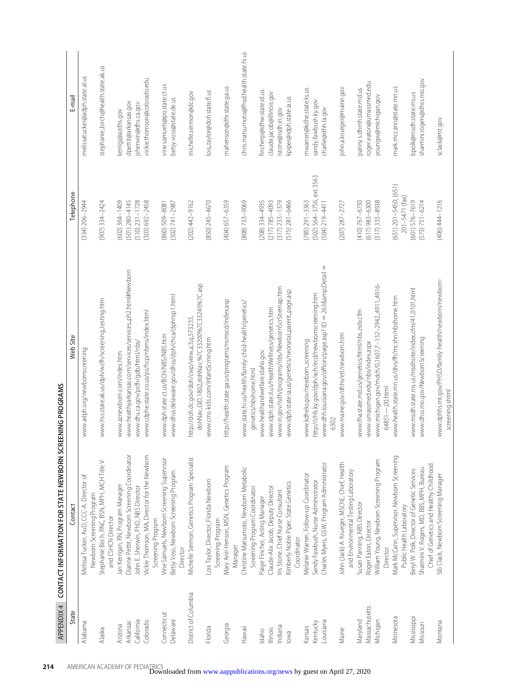| <b>APPENDIX4</b>     | CONTACT INFORMATION FOR STATE NEWBORN SCREENING PROGRAMS                                       |                                                                                                |                                                 |                                         |
|----------------------|------------------------------------------------------------------------------------------------|------------------------------------------------------------------------------------------------|-------------------------------------------------|-----------------------------------------|
| State                | Contact                                                                                        | Web Site                                                                                       | Telephone                                       | E-mail                                  |
| Alabama              | Melissa Tucker, AuD, CCC-A, Director of                                                        | www.adph.org/newbornscreening                                                                  | $(334) 206 - 2944$                              | melissatucker@adph.state.al.us          |
| Alaska               | Stephanie Birch, RNC, BSN, MPH, MCH Title V<br>Newborn Screening Program<br>and CSHCN Director | www.hss.state.ak.us/dph/wcfh/screening_testing.htm                                             | $(907)$ 334-2424                                | stephanie_birch@health.state.ak.us      |
| Arizona              | Jan Kerrigan, RN, Program Manager                                                              | www.aznewborn.com/index.htm                                                                    | $(602)$ 364-1409                                | kerrigj@azdhs.gov                       |
| Arkansas             | Dianne Pettit, Newborn Screening Coordinator                                                   | www.healthyarkansas.com/services/services_ph2.html#Newbom                                      | $(501)$ 280-4145                                | dpettit@arkansas.gov                    |
| California           | John E. Sherwin, PhD, NBS Director                                                             | www.dhs.ca.gov/pcfh/gdb/html/nbs/                                                              | $(510)$ $231 - 1728$                            | jsherwin@dhs.ca.gov                     |
| Colorado             | Vickie Thomson, MA, Director for the Newborn<br>Screening Program                              | www.cdphe.state.co.us/ps/hcp/nbms/index.html                                                   | $(303)692 - 2458$                               | vickie.thomson@colorado.edu             |
| Connecticut          | Vine Samuels, Newborn Screening Supervisor                                                     | www.dph.state.ct.us/BCH/NBS/NBS.htm                                                            | (860) 509-8081                                  | vine.samuels@po.state.ct.us             |
| Delaware             | Betsy Voss, Newborn Screening Program<br>Director                                              | www.dhss.delaware.gov/dhss/dph/chca/dphnsp1.html                                               | $(302)$ 741-2987                                | betsy.voss@state.de.us                  |
| District of Columbia | Michelle Semon, Genetics Program Specialist                                                    | dohNav_GID,1802,dohNav,%7C33200%7C33245%7C.asp<br>http://doh.dc.gov/doh/cwp/view,a,3,q,573233, | $(202)$ 442-9162                                | michelle.sermon@dc.gov                  |
| Florida              | Lois Taylor, Director, Florida Newbom                                                          | www.cms-kids.com/InfantScrning.htm                                                             | $(850)$ 245-4670                                | lois_taylor@doh.state.fl.us             |
| Georgia              | Mary Ann Henson, MSN, Genetics Program<br>Screening Program                                    | http://health.state.ga.us/programs/nsmscd/index.asp                                            | (404) 657-6359                                  | mahenson@dhr.state.ga.us                |
|                      | Manager                                                                                        |                                                                                                |                                                 |                                         |
| Hawaii               | Christine Matsumoto, Newborn Metabolic                                                         | www.state.hi.us/health/family-child-health/genetics/                                           | (808) 733-9069                                  | chris.matsumoto@fhsd.health.state.hi.us |
|                      | Screening Program Coordinator                                                                  | genetics/nbshome.html                                                                          |                                                 |                                         |
| Idaho                | Paige Fincher, Acting Manager                                                                  | www.healthandwelfare.idaho.gov                                                                 | $(208)$ 334-4935                                | fincherp@idhw.state.id.us               |
| Illinois             | Claude-Alix Jacob, Deputy Director                                                             | www.idph.state.il.us/HealthWellness/genetics.htm                                               | $(217) 785 - 4093$                              | claude.jacob@illinois.gov               |
| Indiana              | ris Stone, Chief Nurse Consultant                                                              | www.in.gov/isdh/programs/nbs/NewbornScrSitemap.htm                                             | $(317)$ $233 - 1379$                            | istone@isdh.in.gov                      |
| lowa                 | Kimberly Noble Piper, State Genetics<br>Coordinator                                            | www.idph.state.ia.us/genetics/neonatal_parent_page.asp                                         | $(515)$ 281-6466                                | kpiper@idph.state.ia.us                 |
|                      |                                                                                                |                                                                                                |                                                 |                                         |
| Kansas               | Melanie Warren, Follow-up Coordinator                                                          | www.kdheks.gov/newborn_screening                                                               | $(785)$ 291-3363                                | mwarren@kdhe.state.ks.us                |
| Kentucky             | Sandy Fawbush, Nurse Administrator                                                             | http://chfs.ky.gov/dph/ach/ecd/newbornscreening.htm                                            | (502) 564-3756, ext 3563                        | sandy.fawbush.ky.gov                    |
| Louisiana            | Charles Myers, GSW, Program Administrator                                                      | www.dhh.louisiana.gov/offices/page.asp? ID = 263&Detail =<br>6302                              | $(504)$ 219-4411                                | charlie@dhh.la.gov                      |
| Maine                | John (Jack) A. Krueger, MSChE, Chief, Health<br>and Environmental Testing Laboratory           | www.maine.gov/dhhs/etl/newbom.htm                                                              | $(207)$ 287-2727                                | john.a.krueger@maine.gov                |
| Maryland             | Susan Panning, NBS Director                                                                    | www.fha.state.md.us/genetics/html/nbs_ndx.cfm                                                  | $(410)$ 767-6730                                | panny.s.dhmh.state.md.us                |
| Massachusetts        | Roger Eaton, Director                                                                          | www.umassmed.edu/nbs/index.aspx                                                                | $(617)$ 983-6300                                | roger.eaton@umassmed.edu                |
| Michigan             | William Young, Newbom Screening Program                                                        | www.michigan.gov/mdch/0,1607,7-132-2942_4911_4916-                                             | $(517)$ 335-8938                                | youngw@michigan.gov                     |
|                      | Director                                                                                       | 64851-00.html                                                                                  |                                                 |                                         |
| Minnesota            | Mark McCann, Supervisor, Newborn Screening<br>Public Health Laboratory                         | www.health.state.mn.us/divs/fh/mcshn/nbshome.htm                                               | $(651)$ 201-5450; $(651)$<br>$201 - 5471$ (fax) | mark.mccann@state.mn.us                 |
| Mississippi          | Beryl W. Polk, Director of Genetic Services                                                    | www.msdh.state.ms.us/msdhsite/index.cfm/41,0101,html                                           | $(601) 576 - 7619$                              | bpolk@msdh.state.ms.us                  |
| Missouri             | Sharmini V. Rogers, MD, BBS, MPH, Bureau                                                       | www.dhss.mo.gov/NewbornScreening                                                               | $(573) 751 - 6214$                              | sharmini.rogers@dhss.mo.gov             |
|                      | Chief of Genetics and Healthy Childhood                                                        |                                                                                                |                                                 |                                         |
| Montana              | Sib Clack, Newborn Screening Manager                                                           | www.dphhs.mt.gov/PHSD/family-health/newborn/newborn-<br>screening.shtml                        | $(406)$ 444-1216                                | sclack@mt.gov                           |

APPENDIX 4 **CONTACT INFORMATION FOR STATE NEWBORN SCREENING PROGRAMS** NEWRORN SCREENING  $CTATE$ APPENDIX 4 CONTACT INFORMATION FOR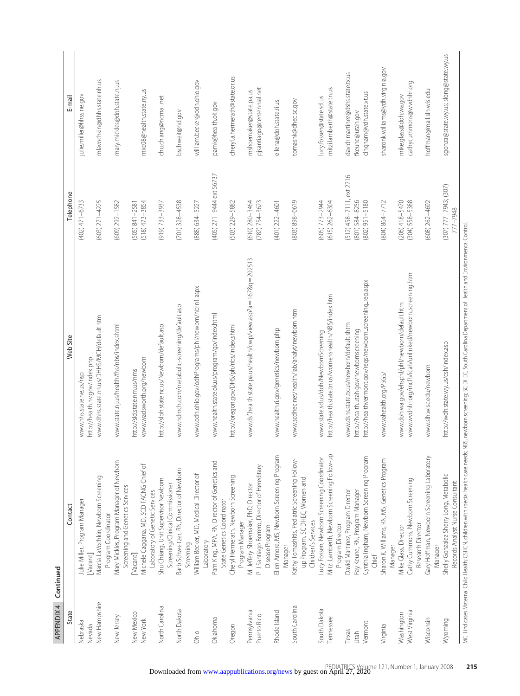| Program Coordinator<br>[Vacant]<br>[Vacant]<br>New Hampshire<br>State<br>New Mexico<br>New Jersey<br>Nebraska<br>Nevada | Contact                                                                                                |                                                                                                          |                                                |                                                       |
|-------------------------------------------------------------------------------------------------------------------------|--------------------------------------------------------------------------------------------------------|----------------------------------------------------------------------------------------------------------|------------------------------------------------|-------------------------------------------------------|
|                                                                                                                         |                                                                                                        | Web Site                                                                                                 | Telephone                                      | E-mail                                                |
|                                                                                                                         | Julie Miller, Program Manager                                                                          | www.hhs.state.ne.us/nsp                                                                                  | $(402)$ $471 - 6733$                           | julie.miller@hhss.ne.gov                              |
|                                                                                                                         | Marcia LaVochkin, Newbom Screening                                                                     | www.dhhs.state.nh.us/DHHS/MCH/default.htm<br>http://health.nv.gov/index.php                              | $(603)$ $271 - 4225$                           | mlavochkin@dhhs.state.nh.us                           |
|                                                                                                                         | Mary Mickles, Program Manager of Newborn<br>Screening and Genetics Services                            | www.state.nj.us/health/fhs/nbs/index.shtml                                                               | $(609)$ 292-1582                               | mary.mickles@doh.state.nj.us                          |
| New York                                                                                                                | Michele Caggana, MD, SCD FACNG Chief of                                                                | www.wadsworth.org/newborn<br>http://sld.state.nm.us/nms                                                  | $(518)$ 473-3854<br>$(505)$ 841-2581           | mxc08@health.state.ny.us                              |
| North Carolina                                                                                                          | Shu Chiang, Unit Supervisor Newbom<br>Laboratory of Genetic Services                                   | http://slph.state.nc.us/Newborn/default.asp                                                              | $(919)$ 733-3937                               | chu.chiang@ncmail.net                                 |
| North Dakota                                                                                                            | Barb Schweitzer, RN, Director of Newborn<br>Screening/Clinical Commissioner                            | www.ndmch.com/metabolic-screening/default.asp                                                            | $(701)$ 328-4538                               | bschweit@nd.gov                                       |
| Screening<br>Ohio                                                                                                       | William Becker, MD, Medical Director of                                                                | www.odh.ohio.gov/odhPrograms/phl/newbrn/nbrn1.aspx                                                       | (888) 634-5227                                 | william.becker@odh.ohio.gov                           |
| Laboratory<br>Oklahoma                                                                                                  | Pam King, MPA, RN, Director of Genetics and<br>State Genetics Coordinator                              | www.health.state.ok.us/program/gp/index.html                                                             | (405) 271-9444 ext 56737                       | pamk@health.ok.gov                                    |
| Program Manager<br>Oregon                                                                                               | Cheryl Hermerath, Newborn Screening                                                                    | http://oregon.gov/DHS/ph/nbs/index.shtml                                                                 | (503) 229-5882                                 | cheryl.a.hermerath@state.or.us                        |
| Disease Program<br>Pennsylvania<br>Puerto Rico                                                                          | P. J.Santiago Borrero, Director of Hereditary<br>M. Jeffery Shoemaker, PhD, Director                   | www.dsf.health.state.pa.us/health/cwp/view.asp?a=167&q=202513                                            | $(610)$ $280 - 3464$<br>(787) 754-3623         | pjsantiago@centennial.net<br>mshoemaker@state.pa.us   |
| Manager<br>Rhode Island                                                                                                 | Ellen Amore, MS, Newbom Screening Program                                                              | www.health.ri.gov/genetics/newborn.php                                                                   | $(401)$ 222-4601                               | ellena@doh.state.ri.us                                |
| South Carolina                                                                                                          | Kathy Tomashitis, Pediatric Screening Follow-<br>up Program, SC DHEC, Women and<br>Children's Services | www.scdhec.net/health/lab/analyt/newbom.htm                                                              | $(803) 898 - 0619$                             | tomashk@dhec.sc.gov                                   |
| Program Director<br>South Dakota<br>Tennessee                                                                           | Mitzi Lamberth, Newbom Screening Follow-up<br>Lucy Fossen, Newborn Screening Coordinator               | http://health.state.tn.us/womenshealth/NBS/index.htm<br>www.state.sd.us/doh/NewbornScreening             | $(605) 773 - 2944$<br>$(615)$ 262-6304         | mitzi.lamberth@state.tn.us<br>lucy.fossen@state.sd.us |
| Texas<br>Utah                                                                                                           | David Martinez, Program Director<br>Fay Keune, RN, Program Manager                                     | www.dshs.state.tx.us/newborn/default.shtm<br>http://health.utah.gov/newbomscreening                      | $(512)$ 458-7111, ext 2216<br>$(801)$ 584-8256 | davidr.martinez@dshs.state.tx.us<br>fkeune@utah.gov   |
| Chief<br>Vermont                                                                                                        | Cynthia Ingham, Newborn Screening Program                                                              | http://healthvermont.gov/regs/newborn_screening_reg.aspx                                                 | $(802)$ 951-5180                               | cingham@vdh.state.vt.us                               |
| Manager<br>Virginia                                                                                                     | Sharon K. Williams, RN, MS, Genetics Program                                                           | www.vahealth.org/PSGS/                                                                                   | (804) 864-7712                                 | sharonk.williams@vdh.virginia.gov                     |
| Research Director<br>Mike Glass, Director<br>West Virginia<br>Washington                                                | Cathy Cummons, Newborn Screening                                                                       | www.wvdhhr.org/mcfh/icah/unlinked/newborn_screening.htm<br>www.doh.wa.gov/ehsphl/phl/newborn/default.htm | $(206)$ 418-5470<br>$(304) 558 - 5388$         | cathycummons@wvdhhr.org<br>mike.glass@doh.wa.gov      |
| Manager<br>Wisconsin                                                                                                    | Gary Hoffman, Newborn Screening Laboratory                                                             | www.slh.wisc.edu/newborn                                                                                 | (608) 262-4692                                 | hoffman@mail.slh.wis.edu                              |
| Wyoming                                                                                                                 | Shelly Gonzalez Sherry Long, Metabolic<br>Records Analyst Nurse Consultant                             | http://wdh.state.wy.us/csh/index.asp                                                                     | (307) 777-7943; (307)<br>777-7948              | sgonza@state.wy.us; slong@state.wy.us                 |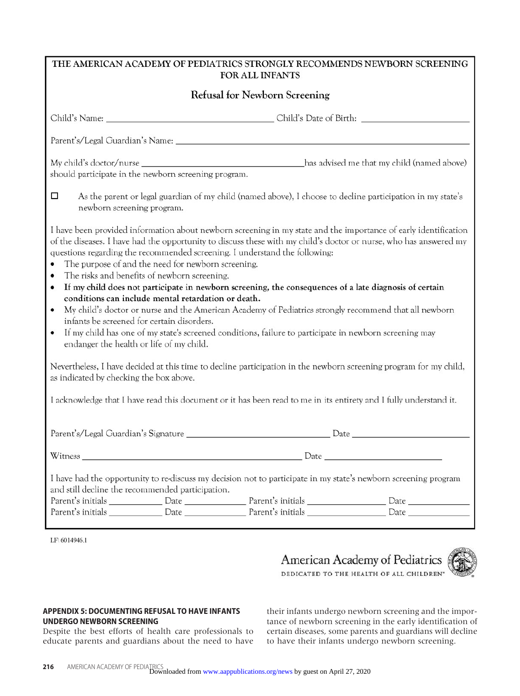### THE AMERICAN ACADEMY OF PEDIATRICS STRONGLY RECOMMENDS NEWBORN SCREENING FOR ALL INFANTS

|  | <b>Refusal for Newborn Screening</b> |
|--|--------------------------------------|
|  |                                      |

| should participate in the newborn screening program.<br>□<br>As the parent or legal guardian of my child (named above), I choose to decline participation in my state's<br>newborn screening program.<br>I have been provided information about newborn screening in my state and the importance of early identification<br>of the diseases. I have had the opportunity to discuss these with my child's doctor or nurse, who has answered my<br>questions regarding the recommended screening. I understand the following:<br>The purpose of and the need for newborn screening.<br>$\bullet$<br>The risks and benefits of newborn screening.<br>$\bullet$<br>If my child does not participate in newborn screening, the consequences of a late diagnosis of certain<br>$\bullet$<br>conditions can include mental retardation or death.<br>My child's doctor or nurse and the American Academy of Pediatrics strongly recommend that all newborn<br>٠<br>infants be screened for certain disorders.<br>If my child has one of my state's screened conditions, failure to participate in newborn screening may<br>$\bullet$<br>endanger the health or life of my child.<br>Nevertheless, I have decided at this time to decline participation in the newborn screening program for my child,<br>as indicated by checking the box above.<br>I acknowledge that I have read this document or it has been read to me in its entirety and I fully understand it.<br>I have had the opportunity to re-discuss my decision not to participate in my state's newborn screening program<br>and still decline the recommended participation.<br>Parent's initials Date Date Date Parent's initials Date Date Date | refusar for frewborn ocreening |
|-----------------------------------------------------------------------------------------------------------------------------------------------------------------------------------------------------------------------------------------------------------------------------------------------------------------------------------------------------------------------------------------------------------------------------------------------------------------------------------------------------------------------------------------------------------------------------------------------------------------------------------------------------------------------------------------------------------------------------------------------------------------------------------------------------------------------------------------------------------------------------------------------------------------------------------------------------------------------------------------------------------------------------------------------------------------------------------------------------------------------------------------------------------------------------------------------------------------------------------------------------------------------------------------------------------------------------------------------------------------------------------------------------------------------------------------------------------------------------------------------------------------------------------------------------------------------------------------------------------------------------------------------------------------------------------------------------------|--------------------------------|
|                                                                                                                                                                                                                                                                                                                                                                                                                                                                                                                                                                                                                                                                                                                                                                                                                                                                                                                                                                                                                                                                                                                                                                                                                                                                                                                                                                                                                                                                                                                                                                                                                                                                                                           |                                |
|                                                                                                                                                                                                                                                                                                                                                                                                                                                                                                                                                                                                                                                                                                                                                                                                                                                                                                                                                                                                                                                                                                                                                                                                                                                                                                                                                                                                                                                                                                                                                                                                                                                                                                           |                                |
|                                                                                                                                                                                                                                                                                                                                                                                                                                                                                                                                                                                                                                                                                                                                                                                                                                                                                                                                                                                                                                                                                                                                                                                                                                                                                                                                                                                                                                                                                                                                                                                                                                                                                                           |                                |
|                                                                                                                                                                                                                                                                                                                                                                                                                                                                                                                                                                                                                                                                                                                                                                                                                                                                                                                                                                                                                                                                                                                                                                                                                                                                                                                                                                                                                                                                                                                                                                                                                                                                                                           |                                |
|                                                                                                                                                                                                                                                                                                                                                                                                                                                                                                                                                                                                                                                                                                                                                                                                                                                                                                                                                                                                                                                                                                                                                                                                                                                                                                                                                                                                                                                                                                                                                                                                                                                                                                           |                                |
|                                                                                                                                                                                                                                                                                                                                                                                                                                                                                                                                                                                                                                                                                                                                                                                                                                                                                                                                                                                                                                                                                                                                                                                                                                                                                                                                                                                                                                                                                                                                                                                                                                                                                                           |                                |
|                                                                                                                                                                                                                                                                                                                                                                                                                                                                                                                                                                                                                                                                                                                                                                                                                                                                                                                                                                                                                                                                                                                                                                                                                                                                                                                                                                                                                                                                                                                                                                                                                                                                                                           |                                |
|                                                                                                                                                                                                                                                                                                                                                                                                                                                                                                                                                                                                                                                                                                                                                                                                                                                                                                                                                                                                                                                                                                                                                                                                                                                                                                                                                                                                                                                                                                                                                                                                                                                                                                           |                                |
|                                                                                                                                                                                                                                                                                                                                                                                                                                                                                                                                                                                                                                                                                                                                                                                                                                                                                                                                                                                                                                                                                                                                                                                                                                                                                                                                                                                                                                                                                                                                                                                                                                                                                                           |                                |
|                                                                                                                                                                                                                                                                                                                                                                                                                                                                                                                                                                                                                                                                                                                                                                                                                                                                                                                                                                                                                                                                                                                                                                                                                                                                                                                                                                                                                                                                                                                                                                                                                                                                                                           |                                |
|                                                                                                                                                                                                                                                                                                                                                                                                                                                                                                                                                                                                                                                                                                                                                                                                                                                                                                                                                                                                                                                                                                                                                                                                                                                                                                                                                                                                                                                                                                                                                                                                                                                                                                           |                                |

LF\ 6014946.1





#### **APPENDIX 5: DOCUMENTING REFUSAL TO HAVE INFANTS UNDERGO NEWBORN SCREENING**

Despite the best efforts of health care professionals to educate parents and guardians about the need to have

their infants undergo newborn screening and the importance of newborn screening in the early identification of certain diseases, some parents and guardians will decline to have their infants undergo newborn screening.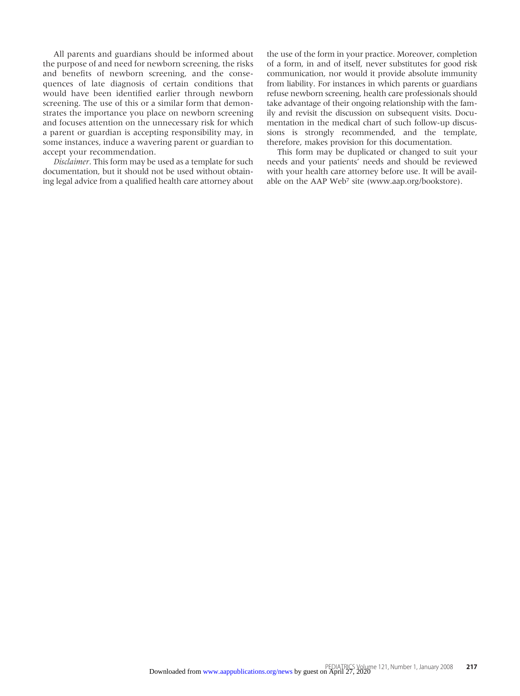All parents and guardians should be informed about the purpose of and need for newborn screening, the risks and benefits of newborn screening, and the consequences of late diagnosis of certain conditions that would have been identified earlier through newborn screening. The use of this or a similar form that demonstrates the importance you place on newborn screening and focuses attention on the unnecessary risk for which a parent or guardian is accepting responsibility may, in some instances, induce a wavering parent or guardian to accept your recommendation.

*Disclaimer*. This form may be used as a template for such documentation, but it should not be used without obtaining legal advice from a qualified health care attorney about the use of the form in your practice. Moreover, completion of a form, in and of itself, never substitutes for good risk communication, nor would it provide absolute immunity from liability. For instances in which parents or guardians refuse newborn screening, health care professionals should take advantage of their ongoing relationship with the family and revisit the discussion on subsequent visits. Documentation in the medical chart of such follow-up discussions is strongly recommended, and the template, therefore, makes provision for this documentation.

This form may be duplicated or changed to suit your needs and your patients' needs and should be reviewed with your health care attorney before use. It will be available on the AAP Web7 site (www.aap.org/bookstore).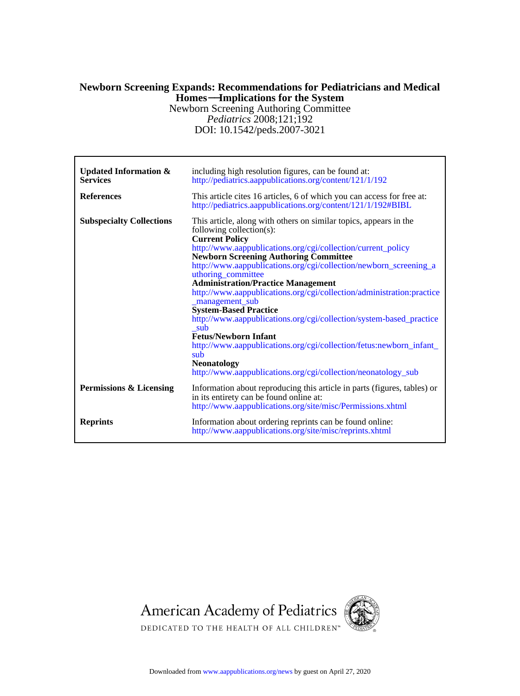#### Newborn Screening Authoring Committee **Homes**−−**Implications for the System Newborn Screening Expands: Recommendations for Pediatricians and Medical**

DOI: 10.1542/peds.2007-3021 *Pediatrics* 2008;121;192

| Updated Information $\&$<br><b>Services</b> | including high resolution figures, can be found at:<br>http://pediatrics.aappublications.org/content/121/1/192                                                                                                                                                                                                                                                                                                                                                                                                                                                                                                                                                                                                                                                                               |
|---------------------------------------------|----------------------------------------------------------------------------------------------------------------------------------------------------------------------------------------------------------------------------------------------------------------------------------------------------------------------------------------------------------------------------------------------------------------------------------------------------------------------------------------------------------------------------------------------------------------------------------------------------------------------------------------------------------------------------------------------------------------------------------------------------------------------------------------------|
| <b>References</b>                           | This article cites 16 articles, 6 of which you can access for free at:<br>http://pediatrics.aappublications.org/content/121/1/192#BIBL                                                                                                                                                                                                                                                                                                                                                                                                                                                                                                                                                                                                                                                       |
| <b>Subspecialty Collections</b>             | This article, along with others on similar topics, appears in the<br>following collection(s):<br><b>Current Policy</b><br>http://www.aappublications.org/cgi/collection/current_policy<br><b>Newborn Screening Authoring Committee</b><br>http://www.aappublications.org/cgi/collection/newborn_screening_a<br>uthoring_committee<br><b>Administration/Practice Management</b><br>http://www.aappublications.org/cgi/collection/administration:practice<br>_management_sub<br><b>System-Based Practice</b><br>http://www.aappublications.org/cgi/collection/system-based_practice<br>sub<br><b>Fetus/Newborn Infant</b><br>http://www.aappublications.org/cgi/collection/fetus:newborn_infant_<br>sub<br><b>Neonatology</b><br>http://www.aappublications.org/cgi/collection/neonatology_sub |
| <b>Permissions &amp; Licensing</b>          | Information about reproducing this article in parts (figures, tables) or<br>in its entirety can be found online at:<br>http://www.aappublications.org/site/misc/Permissions.xhtml                                                                                                                                                                                                                                                                                                                                                                                                                                                                                                                                                                                                            |
| <b>Reprints</b>                             | Information about ordering reprints can be found online:<br>http://www.aappublications.org/site/misc/reprints.xhtml                                                                                                                                                                                                                                                                                                                                                                                                                                                                                                                                                                                                                                                                          |